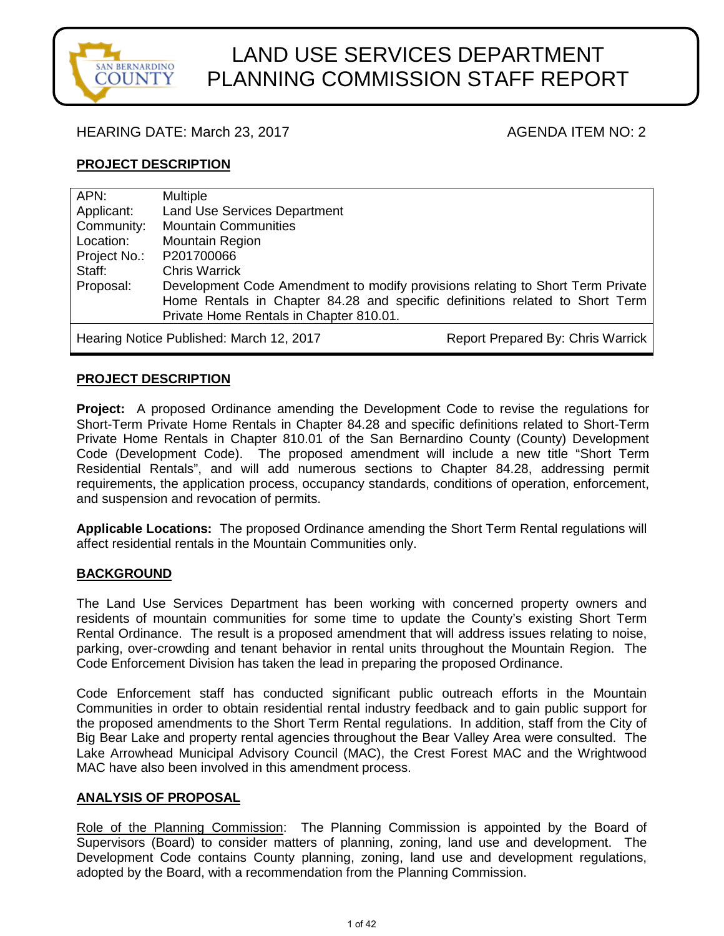

# LAND USE SERVICES DEPARTMENT PLANNING COMMISSION STAFF REPORT

#### HEARING DATE: March 23, 2017 **AGENDA ITEM NO: 2** AGENDA ITEM NO: 2

#### **PROJECT DESCRIPTION**

| APN:                                                                          | <b>Multiple</b>                                                                |  |
|-------------------------------------------------------------------------------|--------------------------------------------------------------------------------|--|
| Applicant:                                                                    | <b>Land Use Services Department</b>                                            |  |
| Community:                                                                    | <b>Mountain Communities</b>                                                    |  |
| Location:                                                                     | Mountain Region                                                                |  |
| Project No.:                                                                  | P201700066                                                                     |  |
| Staff:                                                                        | <b>Chris Warrick</b>                                                           |  |
| Proposal:                                                                     | Development Code Amendment to modify provisions relating to Short Term Private |  |
|                                                                               | Home Rentals in Chapter 84.28 and specific definitions related to Short Term   |  |
|                                                                               | Private Home Rentals in Chapter 810.01.                                        |  |
| Report Prepared By: Chris Warrick<br>Hearing Notice Published: March 12, 2017 |                                                                                |  |

#### **PROJECT DESCRIPTION**

**Project:** A proposed Ordinance amending the Development Code to revise the regulations for Short-Term Private Home Rentals in Chapter 84.28 and specific definitions related to Short-Term Private Home Rentals in Chapter 810.01 of the San Bernardino County (County) Development Code (Development Code). The proposed amendment will include a new title "Short Term Residential Rentals", and will add numerous sections to Chapter 84.28, addressing permit requirements, the application process, occupancy standards, conditions of operation, enforcement, and suspension and revocation of permits.

**Applicable Locations:** The proposed Ordinance amending the Short Term Rental regulations will affect residential rentals in the Mountain Communities only.

#### **BACKGROUND**

The Land Use Services Department has been working with concerned property owners and residents of mountain communities for some time to update the County's existing Short Term Rental Ordinance. The result is a proposed amendment that will address issues relating to noise, parking, over-crowding and tenant behavior in rental units throughout the Mountain Region. The Code Enforcement Division has taken the lead in preparing the proposed Ordinance.

Code Enforcement staff has conducted significant public outreach efforts in the Mountain Communities in order to obtain residential rental industry feedback and to gain public support for the proposed amendments to the Short Term Rental regulations. In addition, staff from the City of Big Bear Lake and property rental agencies throughout the Bear Valley Area were consulted. The Lake Arrowhead Municipal Advisory Council (MAC), the Crest Forest MAC and the Wrightwood MAC have also been involved in this amendment process.

#### **ANALYSIS OF PROPOSAL**

Role of the Planning Commission: The Planning Commission is appointed by the Board of Supervisors (Board) to consider matters of planning, zoning, land use and development. The Development Code contains County planning, zoning, land use and development regulations, adopted by the Board, with a recommendation from the Planning Commission.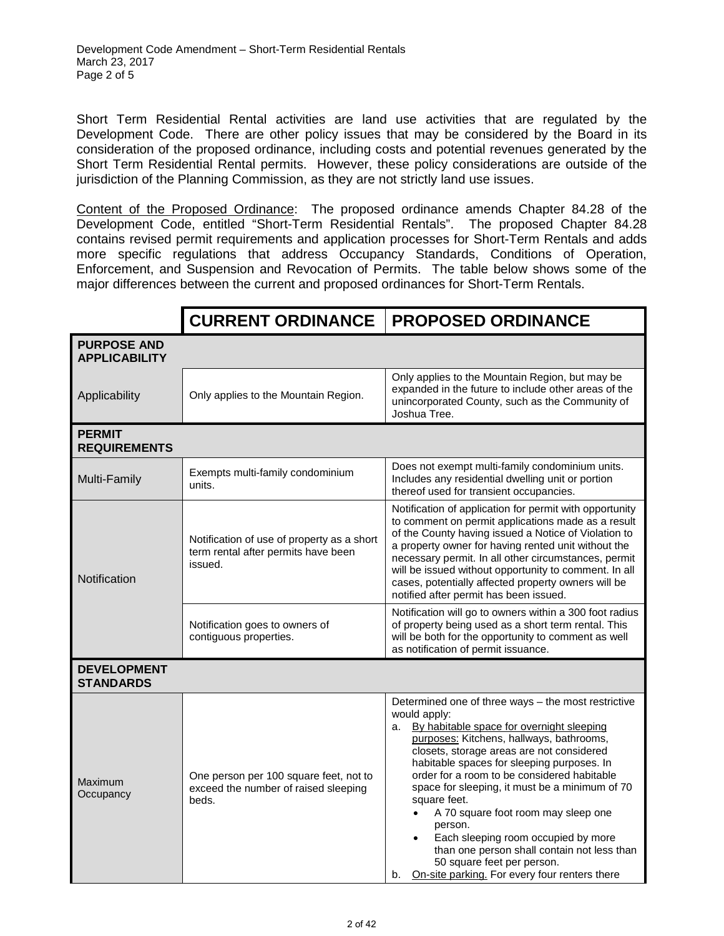Short Term Residential Rental activities are land use activities that are regulated by the Development Code. There are other policy issues that may be considered by the Board in its consideration of the proposed ordinance, including costs and potential revenues generated by the Short Term Residential Rental permits. However, these policy considerations are outside of the jurisdiction of the Planning Commission, as they are not strictly land use issues.

Content of the Proposed Ordinance: The proposed ordinance amends Chapter 84.28 of the Development Code, entitled "Short-Term Residential Rentals". The proposed Chapter 84.28 contains revised permit requirements and application processes for Short-Term Rentals and adds more specific regulations that address Occupancy Standards, Conditions of Operation, Enforcement, and Suspension and Revocation of Permits. The table below shows some of the major differences between the current and proposed ordinances for Short-Term Rentals.

|                                            | <b>CURRENT ORDINANCE</b>                                                                     | <b>PROPOSED ORDINANCE</b>                                                                                                                                                                                                                                                                                                                                                                                                                                                                                                                                                                                                          |  |  |
|--------------------------------------------|----------------------------------------------------------------------------------------------|------------------------------------------------------------------------------------------------------------------------------------------------------------------------------------------------------------------------------------------------------------------------------------------------------------------------------------------------------------------------------------------------------------------------------------------------------------------------------------------------------------------------------------------------------------------------------------------------------------------------------------|--|--|
| <b>PURPOSE AND</b><br><b>APPLICABILITY</b> |                                                                                              |                                                                                                                                                                                                                                                                                                                                                                                                                                                                                                                                                                                                                                    |  |  |
| Applicability                              | Only applies to the Mountain Region.                                                         | Only applies to the Mountain Region, but may be<br>expanded in the future to include other areas of the<br>unincorporated County, such as the Community of<br>Joshua Tree.                                                                                                                                                                                                                                                                                                                                                                                                                                                         |  |  |
| <b>PERMIT</b><br><b>REQUIREMENTS</b>       |                                                                                              |                                                                                                                                                                                                                                                                                                                                                                                                                                                                                                                                                                                                                                    |  |  |
| Multi-Family                               | Exempts multi-family condominium<br>units.                                                   | Does not exempt multi-family condominium units.<br>Includes any residential dwelling unit or portion<br>thereof used for transient occupancies.                                                                                                                                                                                                                                                                                                                                                                                                                                                                                    |  |  |
| Notification                               | Notification of use of property as a short<br>term rental after permits have been<br>issued. | Notification of application for permit with opportunity<br>to comment on permit applications made as a result<br>of the County having issued a Notice of Violation to<br>a property owner for having rented unit without the<br>necessary permit. In all other circumstances, permit<br>will be issued without opportunity to comment. In all<br>cases, potentially affected property owners will be<br>notified after permit has been issued.                                                                                                                                                                                     |  |  |
|                                            | Notification goes to owners of<br>contiguous properties.                                     | Notification will go to owners within a 300 foot radius<br>of property being used as a short term rental. This<br>will be both for the opportunity to comment as well<br>as notification of permit issuance.                                                                                                                                                                                                                                                                                                                                                                                                                       |  |  |
| <b>DEVELOPMENT</b><br><b>STANDARDS</b>     |                                                                                              |                                                                                                                                                                                                                                                                                                                                                                                                                                                                                                                                                                                                                                    |  |  |
| Maximum<br>Occupancy                       | One person per 100 square feet, not to<br>exceed the number of raised sleeping<br>beds.      | Determined one of three ways - the most restrictive<br>would apply:<br>a. By habitable space for overnight sleeping<br>purposes: Kitchens, hallways, bathrooms,<br>closets, storage areas are not considered<br>habitable spaces for sleeping purposes. In<br>order for a room to be considered habitable<br>space for sleeping, it must be a minimum of 70<br>square feet.<br>A 70 square foot room may sleep one<br>$\bullet$<br>person.<br>Each sleeping room occupied by more<br>$\bullet$<br>than one person shall contain not less than<br>50 square feet per person.<br>On-site parking. For every four renters there<br>b. |  |  |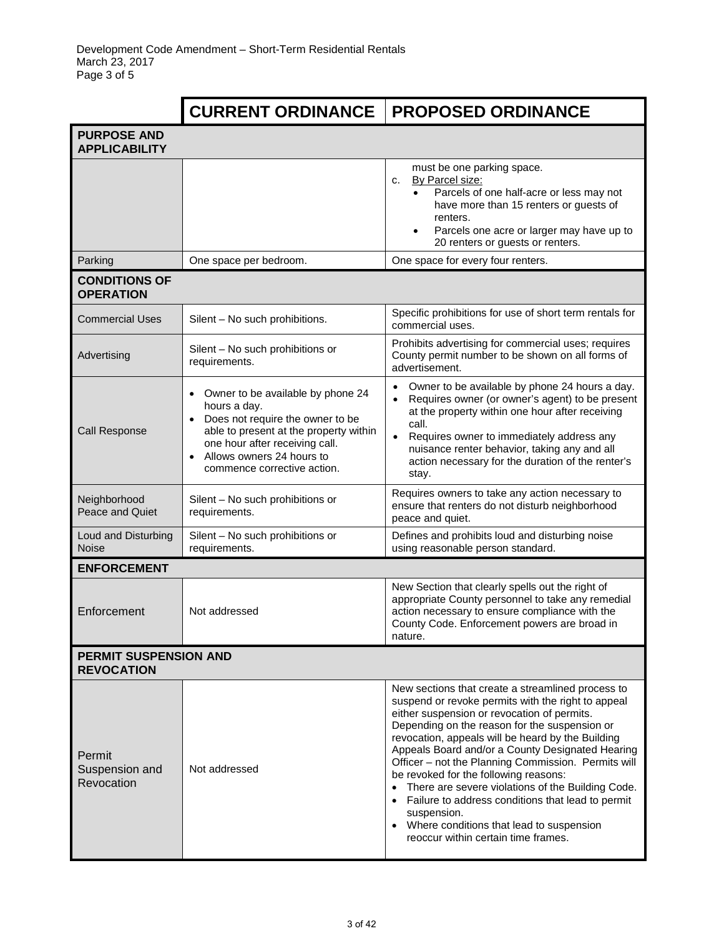|                                                   | <b>CURRENT ORDINANCE</b>                                                                                                                                                                                                                                             | <b>PROPOSED ORDINANCE</b>                                                                                                                                                                                                                                                                                                                                                                                                                                                                                                                                                                                                          |  |  |
|---------------------------------------------------|----------------------------------------------------------------------------------------------------------------------------------------------------------------------------------------------------------------------------------------------------------------------|------------------------------------------------------------------------------------------------------------------------------------------------------------------------------------------------------------------------------------------------------------------------------------------------------------------------------------------------------------------------------------------------------------------------------------------------------------------------------------------------------------------------------------------------------------------------------------------------------------------------------------|--|--|
| <b>PURPOSE AND</b><br><b>APPLICABILITY</b>        |                                                                                                                                                                                                                                                                      |                                                                                                                                                                                                                                                                                                                                                                                                                                                                                                                                                                                                                                    |  |  |
|                                                   |                                                                                                                                                                                                                                                                      | must be one parking space.<br>By Parcel size:<br>c.<br>Parcels of one half-acre or less may not<br>have more than 15 renters or guests of<br>renters.<br>Parcels one acre or larger may have up to<br>20 renters or guests or renters.                                                                                                                                                                                                                                                                                                                                                                                             |  |  |
| Parking                                           | One space per bedroom.                                                                                                                                                                                                                                               | One space for every four renters.                                                                                                                                                                                                                                                                                                                                                                                                                                                                                                                                                                                                  |  |  |
| <b>CONDITIONS OF</b><br><b>OPERATION</b>          |                                                                                                                                                                                                                                                                      |                                                                                                                                                                                                                                                                                                                                                                                                                                                                                                                                                                                                                                    |  |  |
| <b>Commercial Uses</b>                            | Silent - No such prohibitions.                                                                                                                                                                                                                                       | Specific prohibitions for use of short term rentals for<br>commercial uses.                                                                                                                                                                                                                                                                                                                                                                                                                                                                                                                                                        |  |  |
| Advertising                                       | Silent - No such prohibitions or<br>requirements.                                                                                                                                                                                                                    | Prohibits advertising for commercial uses; requires<br>County permit number to be shown on all forms of<br>advertisement.                                                                                                                                                                                                                                                                                                                                                                                                                                                                                                          |  |  |
| Call Response                                     | Owner to be available by phone 24<br>$\bullet$<br>hours a day.<br>Does not require the owner to be<br>$\bullet$<br>able to present at the property within<br>one hour after receiving call.<br>Allows owners 24 hours to<br>$\bullet$<br>commence corrective action. | Owner to be available by phone 24 hours a day.<br>$\bullet$<br>Requires owner (or owner's agent) to be present<br>$\bullet$<br>at the property within one hour after receiving<br>call.<br>$\bullet$<br>Requires owner to immediately address any<br>nuisance renter behavior, taking any and all<br>action necessary for the duration of the renter's<br>stay.                                                                                                                                                                                                                                                                    |  |  |
| Neighborhood<br>Peace and Quiet                   | Silent - No such prohibitions or<br>requirements.                                                                                                                                                                                                                    | Requires owners to take any action necessary to<br>ensure that renters do not disturb neighborhood<br>peace and quiet.                                                                                                                                                                                                                                                                                                                                                                                                                                                                                                             |  |  |
| Loud and Disturbing<br><b>Noise</b>               | Silent - No such prohibitions or<br>requirements.                                                                                                                                                                                                                    | Defines and prohibits loud and disturbing noise<br>using reasonable person standard.                                                                                                                                                                                                                                                                                                                                                                                                                                                                                                                                               |  |  |
| <b>ENFORCEMENT</b>                                |                                                                                                                                                                                                                                                                      |                                                                                                                                                                                                                                                                                                                                                                                                                                                                                                                                                                                                                                    |  |  |
| Enforcement                                       | Not addressed                                                                                                                                                                                                                                                        | New Section that clearly spells out the right of<br>appropriate County personnel to take any remedial<br>action necessary to ensure compliance with the<br>County Code. Enforcement powers are broad in<br>nature.                                                                                                                                                                                                                                                                                                                                                                                                                 |  |  |
| <b>PERMIT SUSPENSION AND</b><br><b>REVOCATION</b> |                                                                                                                                                                                                                                                                      |                                                                                                                                                                                                                                                                                                                                                                                                                                                                                                                                                                                                                                    |  |  |
| Permit<br>Suspension and<br>Revocation            | Not addressed                                                                                                                                                                                                                                                        | New sections that create a streamlined process to<br>suspend or revoke permits with the right to appeal<br>either suspension or revocation of permits.<br>Depending on the reason for the suspension or<br>revocation, appeals will be heard by the Building<br>Appeals Board and/or a County Designated Hearing<br>Officer - not the Planning Commission. Permits will<br>be revoked for the following reasons:<br>• There are severe violations of the Building Code.<br>• Failure to address conditions that lead to permit<br>suspension.<br>• Where conditions that lead to suspension<br>reoccur within certain time frames. |  |  |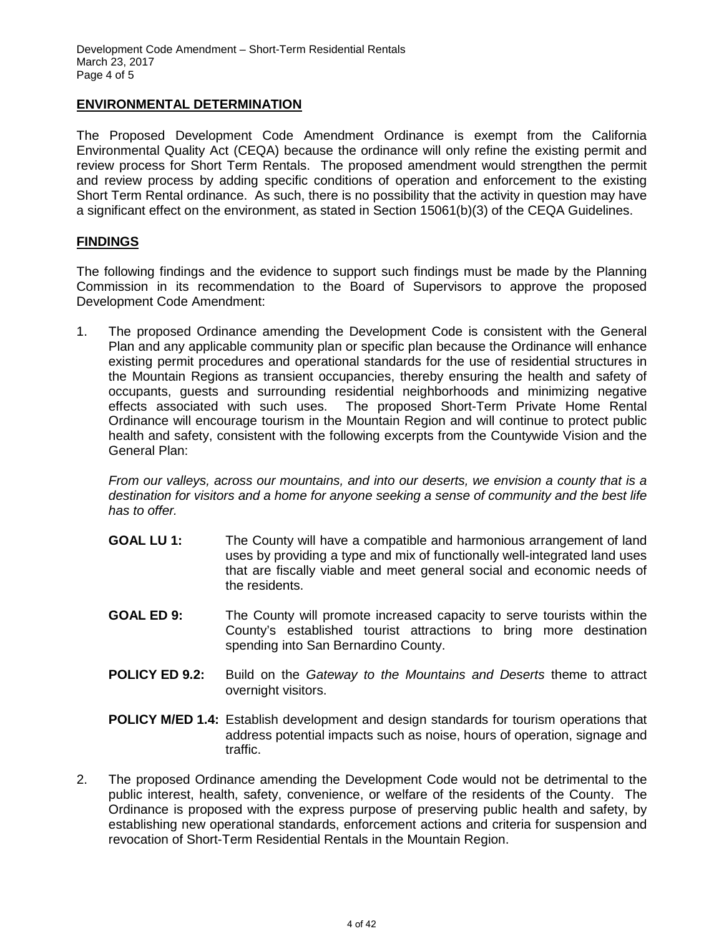#### **ENVIRONMENTAL DETERMINATION**

The Proposed Development Code Amendment Ordinance is exempt from the California Environmental Quality Act (CEQA) because the ordinance will only refine the existing permit and review process for Short Term Rentals. The proposed amendment would strengthen the permit and review process by adding specific conditions of operation and enforcement to the existing Short Term Rental ordinance. As such, there is no possibility that the activity in question may have a significant effect on the environment, as stated in Section 15061(b)(3) of the CEQA Guidelines.

#### **FINDINGS**

The following findings and the evidence to support such findings must be made by the Planning Commission in its recommendation to the Board of Supervisors to approve the proposed Development Code Amendment:

1. The proposed Ordinance amending the Development Code is consistent with the General Plan and any applicable community plan or specific plan because the Ordinance will enhance existing permit procedures and operational standards for the use of residential structures in the Mountain Regions as transient occupancies, thereby ensuring the health and safety of occupants, guests and surrounding residential neighborhoods and minimizing negative effects associated with such uses. The proposed Short-Term Private Home Rental Ordinance will encourage tourism in the Mountain Region and will continue to protect public health and safety, consistent with the following excerpts from the Countywide Vision and the General Plan:

*From our valleys, across our mountains, and into our deserts, we envision a county that is a destination for visitors and a home for anyone seeking a sense of community and the best life has to offer.*

- **GOAL LU 1:** The County will have a compatible and harmonious arrangement of land uses by providing a type and mix of functionally well-integrated land uses that are fiscally viable and meet general social and economic needs of the residents.
- **GOAL ED 9:** The County will promote increased capacity to serve tourists within the County's established tourist attractions to bring more destination spending into San Bernardino County.
- **POLICY ED 9.2:** Build on the *Gateway to the Mountains and Deserts* theme to attract overnight visitors.
- **POLICY M/ED 1.4:** Establish development and design standards for tourism operations that address potential impacts such as noise, hours of operation, signage and traffic.
- 2. The proposed Ordinance amending the Development Code would not be detrimental to the public interest, health, safety, convenience, or welfare of the residents of the County. The Ordinance is proposed with the express purpose of preserving public health and safety, by establishing new operational standards, enforcement actions and criteria for suspension and revocation of Short-Term Residential Rentals in the Mountain Region.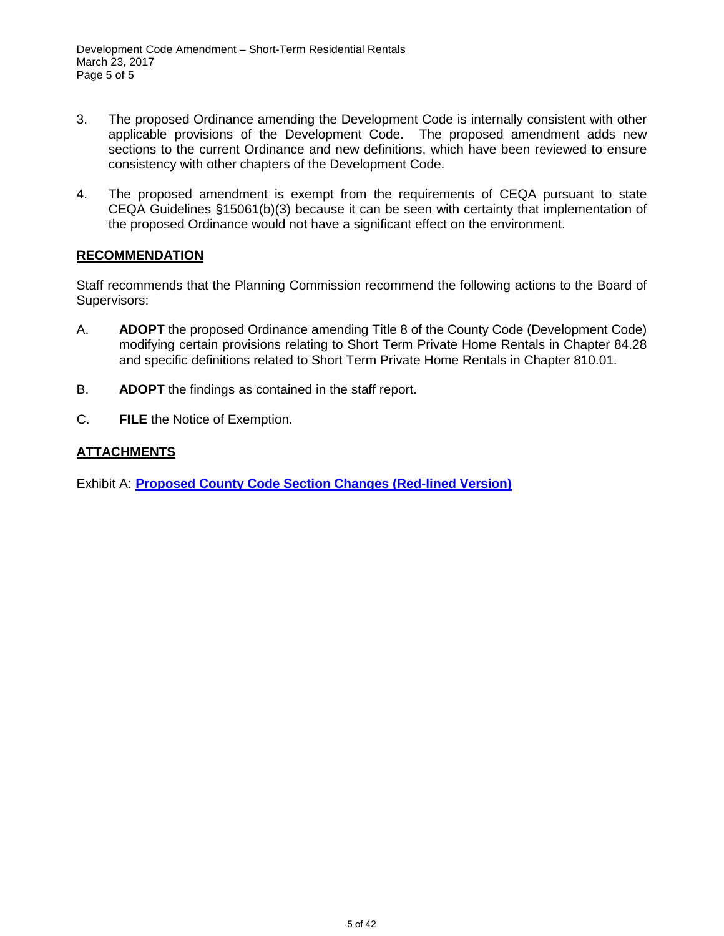- 3. The proposed Ordinance amending the Development Code is internally consistent with other applicable provisions of the Development Code. The proposed amendment adds new sections to the current Ordinance and new definitions, which have been reviewed to ensure consistency with other chapters of the Development Code.
- 4. The proposed amendment is exempt from the requirements of CEQA pursuant to state CEQA Guidelines §15061(b)(3) because it can be seen with certainty that implementation of the proposed Ordinance would not have a significant effect on the environment.

#### **RECOMMENDATION**

Staff recommends that the Planning Commission recommend the following actions to the Board of Supervisors:

- A. **ADOPT** the proposed Ordinance amending Title 8 of the County Code (Development Code) modifying certain provisions relating to Short Term Private Home Rentals in Chapter 84.28 and specific definitions related to Short Term Private Home Rentals in Chapter 810.01.
- B. **ADOPT** the findings as contained in the staff report.
- C. **FILE** the Notice of Exemption.

# **ATTACHMENTS**

Exhibit A: **Proposed County Code Section Changes (Red-lined Version)**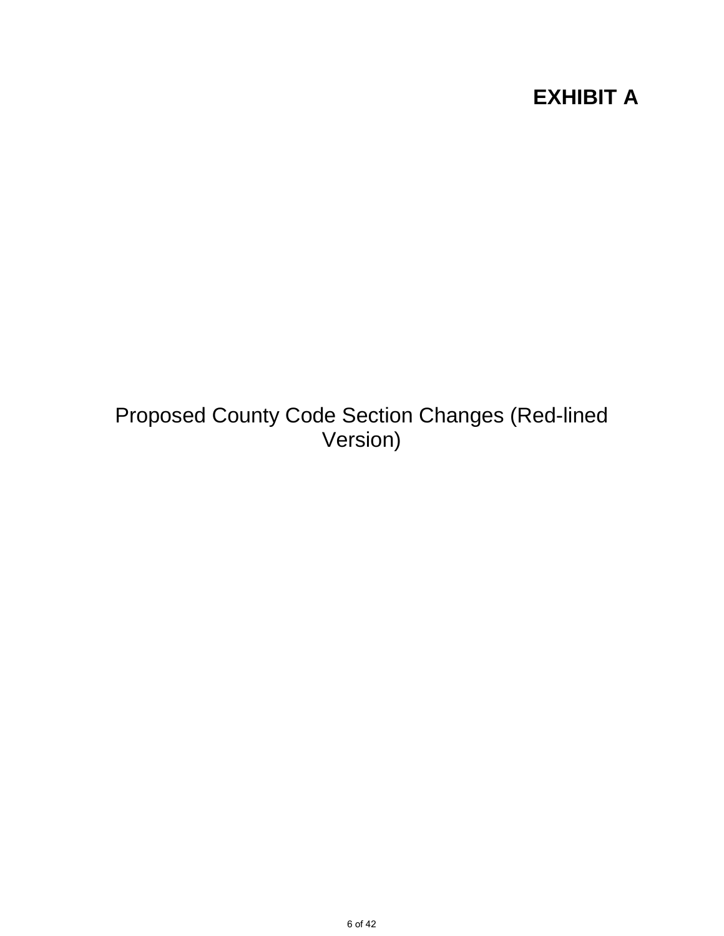# **EXHIBIT A**

Proposed County Code Section Changes (Red-lined Version)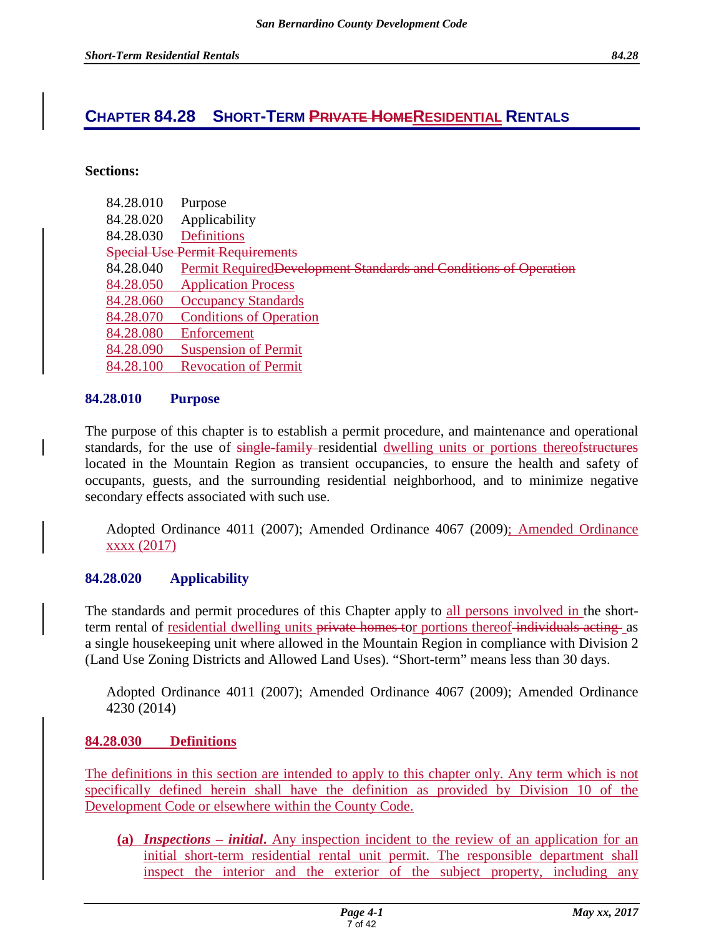# **CHAPTER 84.28 SHORT-TERM PRIVATE HOMERESIDENTIAL RENTALS**

#### **Sections:**

| Purpose                                                           |
|-------------------------------------------------------------------|
| Applicability                                                     |
| <b>Definitions</b>                                                |
| <b>Special Use Permit Requirements</b>                            |
| Permit Required Development Standards and Conditions of Operation |
| <b>Application Process</b>                                        |
| <b>Occupancy Standards</b>                                        |
| <b>Conditions of Operation</b>                                    |
| Enforcement                                                       |
| <b>Suspension of Permit</b>                                       |
| <b>Revocation of Permit</b>                                       |
|                                                                   |

#### **84.28.010 Purpose**

The purpose of this chapter is to establish a permit procedure, and maintenance and operational standards, for the use of single-family-residential dwelling units or portions thereofstructures located in the Mountain Region as transient occupancies, to ensure the health and safety of occupants, guests, and the surrounding residential neighborhood, and to minimize negative secondary effects associated with such use.

Adopted Ordinance 4011 (2007); Amended Ordinance 4067 (2009); Amended Ordinance xxxx (2017)

#### **84.28.020 Applicability**

The standards and permit procedures of this Chapter apply to all persons involved in the shortterm rental of <u>residential dwelling units private homes</u> tor portions thereof-individuals acting as a single housekeeping unit where allowed in the Mountain Region in compliance with Division 2 (Land Use Zoning Districts and Allowed Land Uses). "Short-term" means less than 30 days.

Adopted Ordinance 4011 (2007); Amended Ordinance 4067 (2009); Amended Ordinance 4230 (2014)

#### **84.28.030 Definitions**

The definitions in this section are intended to apply to this chapter only. Any term which is not specifically defined herein shall have the definition as provided by Division 10 of the Development Code or elsewhere within the County Code.

**(a)** *Inspections – initial***.** Any inspection incident to the review of an application for an initial short-term residential rental unit permit. The responsible department shall inspect the interior and the exterior of the subject property, including any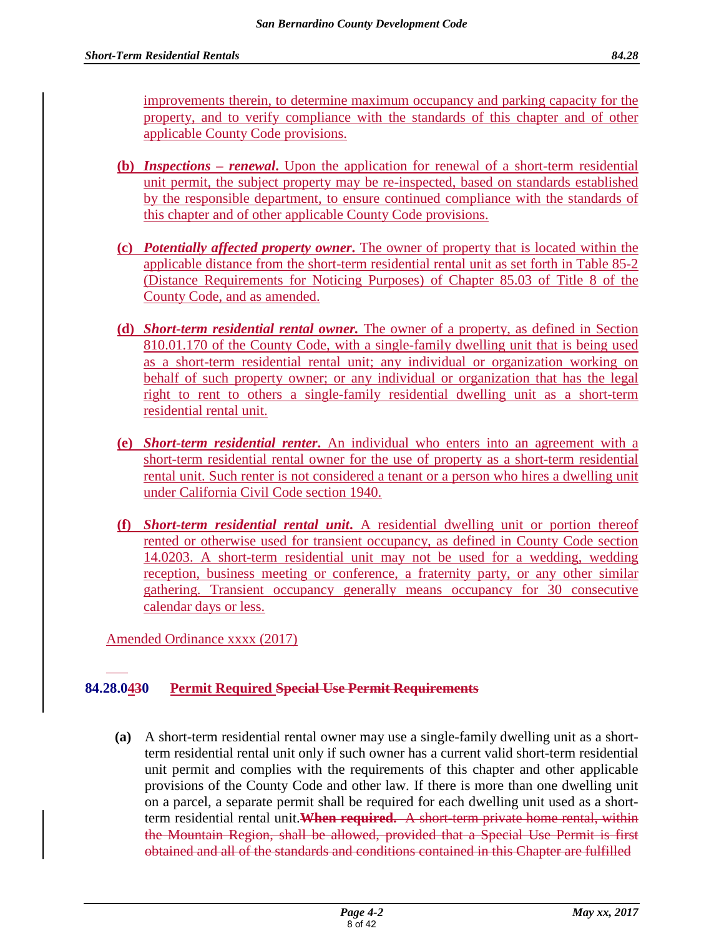improvements therein, to determine maximum occupancy and parking capacity for the property, and to verify compliance with the standards of this chapter and of other applicable County Code provisions.

- **(b)** *Inspections renewal***.** Upon the application for renewal of a short-term residential unit permit, the subject property may be re-inspected, based on standards established by the responsible department, to ensure continued compliance with the standards of this chapter and of other applicable County Code provisions.
- **(c)** *Potentially affected property owner***.** The owner of property that is located within the applicable distance from the short-term residential rental unit as set forth in Table 85-2 (Distance Requirements for Noticing Purposes) of Chapter 85.03 of Title 8 of the County Code, and as amended.
- **(d)** *Short-term residential rental owner.* The owner of a property, as defined in Section 810.01.170 of the County Code, with a single-family dwelling unit that is being used as a short-term residential rental unit; any individual or organization working on behalf of such property owner; or any individual or organization that has the legal right to rent to others a single-family residential dwelling unit as a short-term residential rental unit.
- **(e)** *Short-term residential renter***.** An individual who enters into an agreement with a short-term residential rental owner for the use of property as a short-term residential rental unit. Such renter is not considered a tenant or a person who hires a dwelling unit under California Civil Code section 1940.
- **(f)** *Short-term residential rental unit***.** A residential dwelling unit or portion thereof rented or otherwise used for transient occupancy, as defined in County Code section 14.0203. A short-term residential unit may not be used for a wedding, wedding reception, business meeting or conference, a fraternity party, or any other similar gathering. Transient occupancy generally means occupancy for 30 consecutive calendar days or less.

Amended Ordinance xxxx (2017)

# **84.28.0430 Permit Required Special Use Permit Requirements**

**(a)** A short-term residential rental owner may use a single-family dwelling unit as a shortterm residential rental unit only if such owner has a current valid short-term residential unit permit and complies with the requirements of this chapter and other applicable provisions of the County Code and other law. If there is more than one dwelling unit on a parcel, a separate permit shall be required for each dwelling unit used as a shortterm residential rental unit.**When required.** A short-term private home rental, within the Mountain Region, shall be allowed, provided that a Special Use Permit is first obtained and all of the standards and conditions contained in this Chapter are fulfilled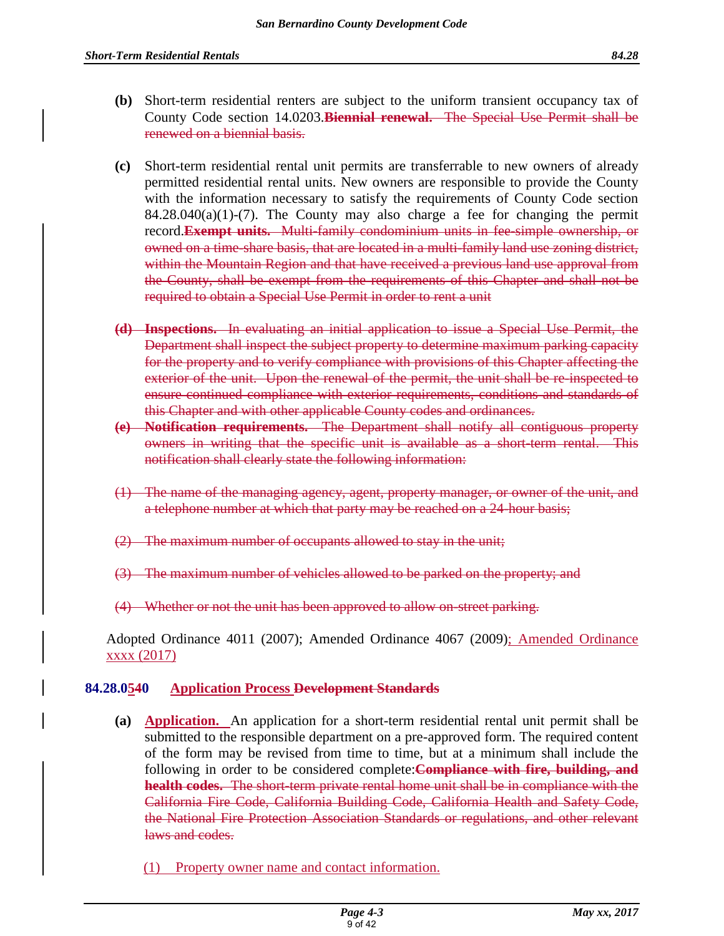- **(b)** Short-term residential renters are subject to the uniform transient occupancy tax of County Code section 14.0203.**Biennial renewal.** The Special Use Permit shall be renewed on a biennial basis.
- **(c)** Short-term residential rental unit permits are transferrable to new owners of already permitted residential rental units. New owners are responsible to provide the County with the information necessary to satisfy the requirements of County Code section  $84.28.040(a)(1)-(7)$ . The County may also charge a fee for changing the permit record.**Exempt units.** Multi-family condominium units in fee-simple ownership, or owned on a time-share basis, that are located in a multi-family land use zoning district, within the Mountain Region and that have received a previous land use approval from the County, shall be exempt from the requirements of this Chapter and shall not be required to obtain a Special Use Permit in order to rent a unit
- **(d) Inspections.** In evaluating an initial application to issue a Special Use Permit, the Department shall inspect the subject property to determine maximum parking capacity for the property and to verify compliance with provisions of this Chapter affecting the exterior of the unit. Upon the renewal of the permit, the unit shall be re-inspected to ensure continued compliance with exterior requirements, conditions and standards of this Chapter and with other applicable County codes and ordinances.
- **(e) Notification requirements.** The Department shall notify all contiguous property owners in writing that the specific unit is available as a short-term rental. This notification shall clearly state the following information:
- (1) The name of the managing agency, agent, property manager, or owner of the unit, and a telephone number at which that party may be reached on a 24-hour basis;
- (2) The maximum number of occupants allowed to stay in the unit;
- The maximum number of vehicles allowed to be parked on the property; and
- (4) Whether or not the unit has been approved to allow on-street parking.

Adopted Ordinance 4011 (2007); Amended Ordinance 4067 (2009); Amended Ordinance xxxx (2017)

# **84.28.0540 Application Process Development Standards**

- **(a) Application.** An application for a short-term residential rental unit permit shall be submitted to the responsible department on a pre-approved form. The required content of the form may be revised from time to time, but at a minimum shall include the following in order to be considered complete:**Compliance with fire, building, and health codes.** The short-term private rental home unit shall be in compliance with the California Fire Code, California Building Code, California Health and Safety Code, the National Fire Protection Association Standards or regulations, and other relevant laws and codes.
	- (1) Property owner name and contact information.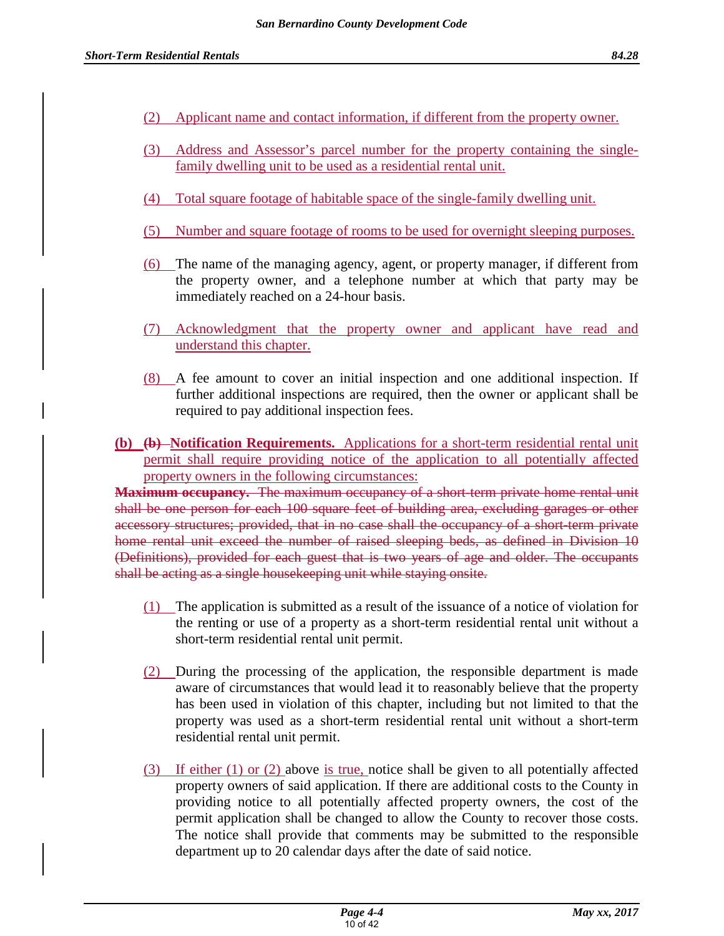- (2) Applicant name and contact information, if different from the property owner.
- (3) Address and Assessor's parcel number for the property containing the singlefamily dwelling unit to be used as a residential rental unit.
- (4) Total square footage of habitable space of the single-family dwelling unit.
- (5) Number and square footage of rooms to be used for overnight sleeping purposes.
- (6) The name of the managing agency, agent, or property manager, if different from the property owner, and a telephone number at which that party may be immediately reached on a 24-hour basis.
- (7) Acknowledgment that the property owner and applicant have read and understand this chapter.
- (8) A fee amount to cover an initial inspection and one additional inspection. If further additional inspections are required, then the owner or applicant shall be required to pay additional inspection fees.
- **(b) (b) Notification Requirements.** Applications for a short-term residential rental unit permit shall require providing notice of the application to all potentially affected property owners in the following circumstances:

**Maximum occupancy.** The maximum occupancy of a short-term private home rental unit shall be one person for each 100 square feet of building area, excluding garages or other accessory structures; provided, that in no case shall the occupancy of a short-term private home rental unit exceed the number of raised sleeping beds, as defined in Division 10 (Definitions), provided for each guest that is two years of age and older. The occupants shall be acting as a single housekeeping unit while staying onsite.

- (1) The application is submitted as a result of the issuance of a notice of violation for the renting or use of a property as a short-term residential rental unit without a short-term residential rental unit permit.
- (2) During the processing of the application, the responsible department is made aware of circumstances that would lead it to reasonably believe that the property has been used in violation of this chapter, including but not limited to that the property was used as a short-term residential rental unit without a short-term residential rental unit permit.
- (3) If either (1) or (2) above is true, notice shall be given to all potentially affected property owners of said application. If there are additional costs to the County in providing notice to all potentially affected property owners, the cost of the permit application shall be changed to allow the County to recover those costs. The notice shall provide that comments may be submitted to the responsible department up to 20 calendar days after the date of said notice.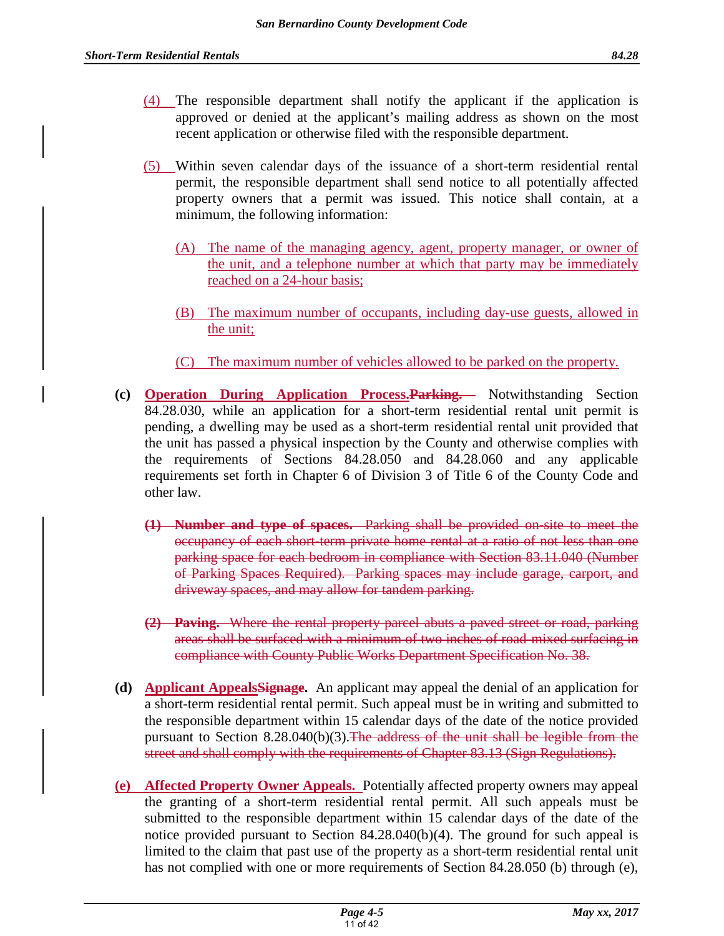- (4) The responsible department shall notify the applicant if the application is approved or denied at the applicant's mailing address as shown on the most recent application or otherwise filed with the responsible department.
- (5) Within seven calendar days of the issuance of a short-term residential rental permit, the responsible department shall send notice to all potentially affected property owners that a permit was issued. This notice shall contain, at a minimum, the following information:
	- (A) The name of the managing agency, agent, property manager, or owner of the unit, and a telephone number at which that party may be immediately reached on a 24-hour basis;
	- (B) The maximum number of occupants, including day-use guests, allowed in the unit;
	- (C) The maximum number of vehicles allowed to be parked on the property.
- **(c) Operation During Application Process.Parking.** Notwithstanding Section 84.28.030, while an application for a short-term residential rental unit permit is pending, a dwelling may be used as a short-term residential rental unit provided that the unit has passed a physical inspection by the County and otherwise complies with the requirements of Sections 84.28.050 and 84.28.060 and any applicable requirements set forth in Chapter 6 of Division 3 of Title 6 of the County Code and other law.
	- **(1) Number and type of spaces.** Parking shall be provided on-site to meet the occupancy of each short-term private home rental at a ratio of not less than one parking space for each bedroom in compliance with Section 83.11.040 (Number of Parking Spaces Required). Parking spaces may include garage, carport, and driveway spaces, and may allow for tandem parking.
	- **(2) Paving.** Where the rental property parcel abuts a paved street or road, parking areas shall be surfaced with a minimum of two inches of road-mixed surfacing in compliance with County Public Works Department Specification No. 38.
- **(d) Applicant AppealsSignage.** An applicant may appeal the denial of an application for a short-term residential rental permit. Such appeal must be in writing and submitted to the responsible department within 15 calendar days of the date of the notice provided pursuant to Section  $8.28.040(b)(3)$ . The address of the unit shall be legible from the street and shall comply with the requirements of Chapter 83.13 (Sign Regulations).
- **(e) Affected Property Owner Appeals.** Potentially affected property owners may appeal the granting of a short-term residential rental permit. All such appeals must be submitted to the responsible department within 15 calendar days of the date of the notice provided pursuant to Section 84.28.040(b)(4). The ground for such appeal is limited to the claim that past use of the property as a short-term residential rental unit has not complied with one or more requirements of Section 84.28.050 (b) through (e),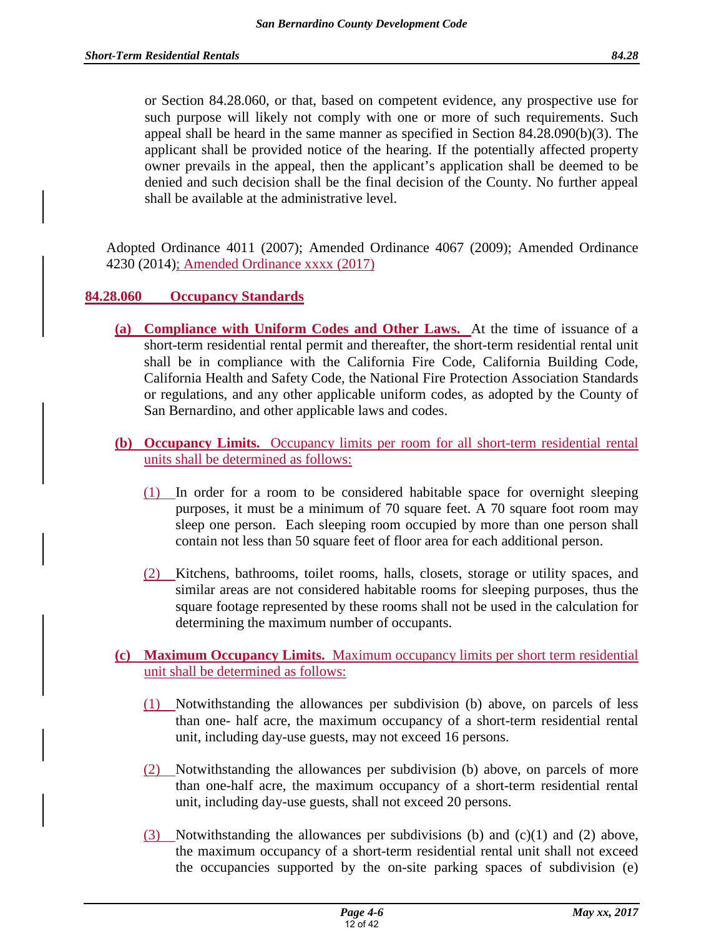or Section 84.28.060, or that, based on competent evidence, any prospective use for such purpose will likely not comply with one or more of such requirements. Such appeal shall be heard in the same manner as specified in Section 84.28.090(b)(3). The applicant shall be provided notice of the hearing. If the potentially affected property owner prevails in the appeal, then the applicant's application shall be deemed to be denied and such decision shall be the final decision of the County. No further appeal shall be available at the administrative level.

Adopted Ordinance 4011 (2007); Amended Ordinance 4067 (2009); Amended Ordinance 4230 (2014); Amended Ordinance xxxx (2017)

# **84.28.060 Occupancy Standards**

- **(a) Compliance with Uniform Codes and Other Laws.** At the time of issuance of a short-term residential rental permit and thereafter, the short-term residential rental unit shall be in compliance with the California Fire Code, California Building Code, California Health and Safety Code, the National Fire Protection Association Standards or regulations, and any other applicable uniform codes, as adopted by the County of San Bernardino, and other applicable laws and codes.
- **(b) Occupancy Limits.** Occupancy limits per room for all short-term residential rental units shall be determined as follows:
	- (1) In order for a room to be considered habitable space for overnight sleeping purposes, it must be a minimum of 70 square feet. A 70 square foot room may sleep one person. Each sleeping room occupied by more than one person shall contain not less than 50 square feet of floor area for each additional person.
	- (2) Kitchens, bathrooms, toilet rooms, halls, closets, storage or utility spaces, and similar areas are not considered habitable rooms for sleeping purposes, thus the square footage represented by these rooms shall not be used in the calculation for determining the maximum number of occupants.

# **(c) Maximum Occupancy Limits.** Maximum occupancy limits per short term residential unit shall be determined as follows:

- (1) Notwithstanding the allowances per subdivision (b) above, on parcels of less than one- half acre, the maximum occupancy of a short-term residential rental unit, including day-use guests, may not exceed 16 persons.
- (2) Notwithstanding the allowances per subdivision (b) above, on parcels of more than one-half acre, the maximum occupancy of a short-term residential rental unit, including day-use guests, shall not exceed 20 persons.
- (3) Notwithstanding the allowances per subdivisions (b) and  $(c)(1)$  and  $(2)$  above, the maximum occupancy of a short-term residential rental unit shall not exceed the occupancies supported by the on-site parking spaces of subdivision (e)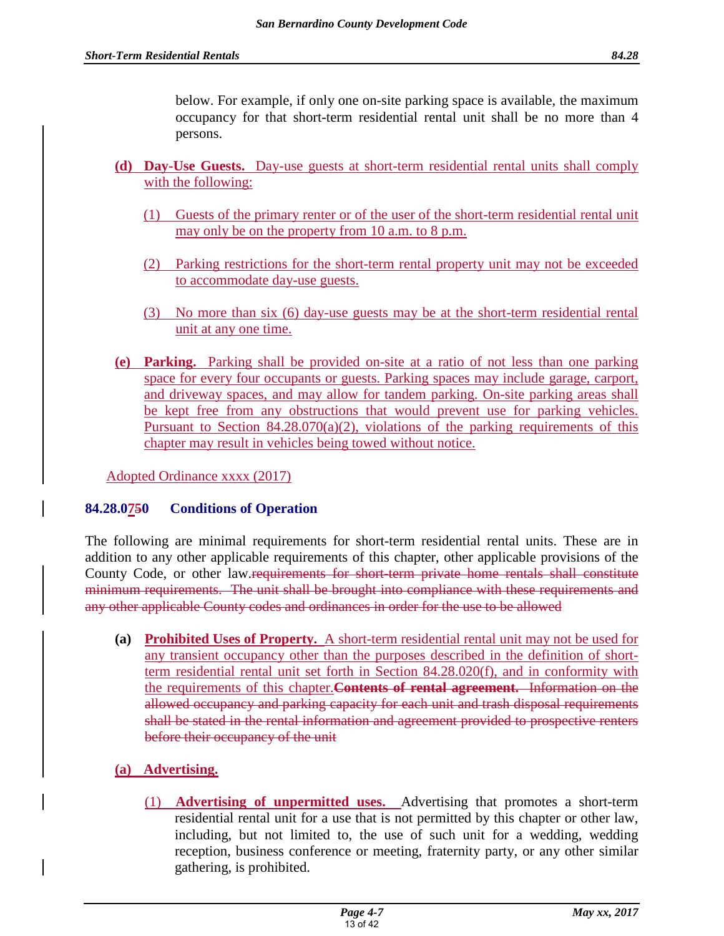below. For example, if only one on-site parking space is available, the maximum

occupancy for that short-term residential rental unit shall be no more than 4 persons.

- **(d) Day-Use Guests.** Day-use guests at short-term residential rental units shall comply with the following:
	- (1) Guests of the primary renter or of the user of the short-term residential rental unit may only be on the property from 10 a.m. to 8 p.m.
	- (2) Parking restrictions for the short-term rental property unit may not be exceeded to accommodate day-use guests.
	- (3) No more than six (6) day-use guests may be at the short-term residential rental unit at any one time.
- **(e) Parking.** Parking shall be provided on-site at a ratio of not less than one parking space for every four occupants or guests. Parking spaces may include garage, carport, and driveway spaces, and may allow for tandem parking. On-site parking areas shall be kept free from any obstructions that would prevent use for parking vehicles. Pursuant to Section  $84.28.070(a)(2)$ , violations of the parking requirements of this chapter may result in vehicles being towed without notice.

Adopted Ordinance xxxx (2017)

# **84.28.0750 Conditions of Operation**

The following are minimal requirements for short-term residential rental units. These are in addition to any other applicable requirements of this chapter, other applicable provisions of the County Code, or other law.requirements for short-term private home rentals shall constitute minimum requirements. The unit shall be brought into compliance with these requirements and any other applicable County codes and ordinances in order for the use to be allowed

**(a) Prohibited Uses of Property.** A short-term residential rental unit may not be used for any transient occupancy other than the purposes described in the definition of shortterm residential rental unit set forth in Section 84.28.020(f), and in conformity with the requirements of this chapter.**Contents of rental agreement.** Information on the allowed occupancy and parking capacity for each unit and trash disposal requirements shall be stated in the rental information and agreement provided to prospective renters before their occupancy of the unit

# **(a) Advertising.**

(1) **Advertising of unpermitted uses.** Advertising that promotes a short-term residential rental unit for a use that is not permitted by this chapter or other law, including, but not limited to, the use of such unit for a wedding, wedding reception, business conference or meeting, fraternity party, or any other similar gathering, is prohibited.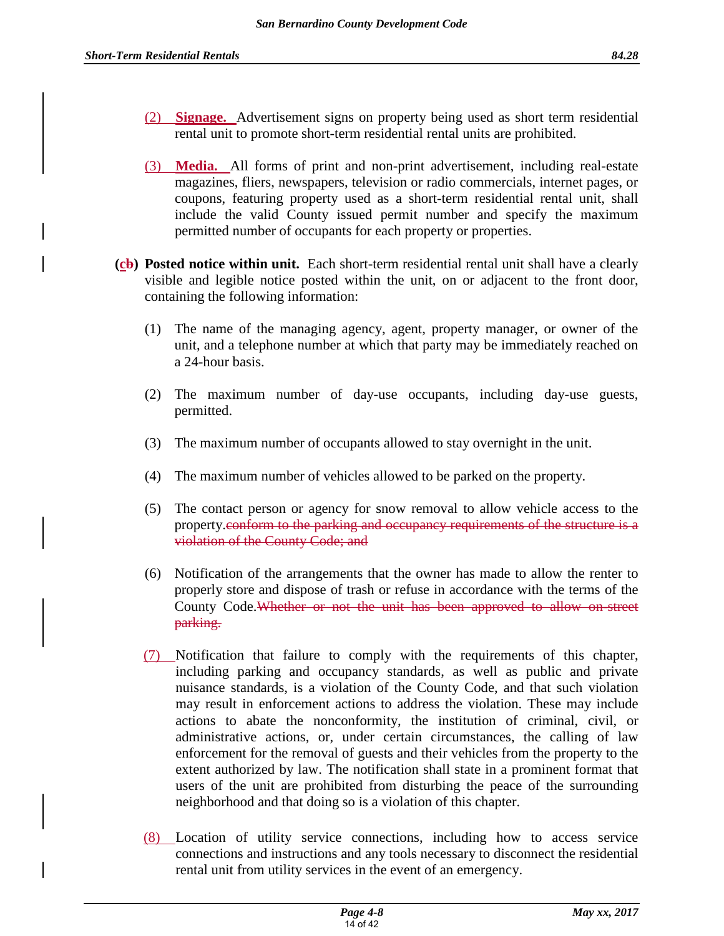- (2) **Signage.** Advertisement signs on property being used as short term residential rental unit to promote short-term residential rental units are prohibited.
- (3) **Media.** All forms of print and non-print advertisement, including real-estate magazines, fliers, newspapers, television or radio commercials, internet pages, or coupons, featuring property used as a short-term residential rental unit, shall include the valid County issued permit number and specify the maximum permitted number of occupants for each property or properties.
- **(cb) Posted notice within unit.** Each short-term residential rental unit shall have a clearly visible and legible notice posted within the unit, on or adjacent to the front door, containing the following information:
	- (1) The name of the managing agency, agent, property manager, or owner of the unit, and a telephone number at which that party may be immediately reached on a 24-hour basis.
	- (2) The maximum number of day-use occupants, including day-use guests, permitted.
	- (3) The maximum number of occupants allowed to stay overnight in the unit.
	- (4) The maximum number of vehicles allowed to be parked on the property.
	- (5) The contact person or agency for snow removal to allow vehicle access to the property.conform to the parking and occupancy requirements of the structure is a violation of the County Code; and
	- (6) Notification of the arrangements that the owner has made to allow the renter to properly store and dispose of trash or refuse in accordance with the terms of the County Code.Whether or not the unit has been approved to allow on-street parking.
	- (7) Notification that failure to comply with the requirements of this chapter, including parking and occupancy standards, as well as public and private nuisance standards, is a violation of the County Code, and that such violation may result in enforcement actions to address the violation. These may include actions to abate the nonconformity, the institution of criminal, civil, or administrative actions, or, under certain circumstances, the calling of law enforcement for the removal of guests and their vehicles from the property to the extent authorized by law. The notification shall state in a prominent format that users of the unit are prohibited from disturbing the peace of the surrounding neighborhood and that doing so is a violation of this chapter.
	- (8) Location of utility service connections, including how to access service connections and instructions and any tools necessary to disconnect the residential rental unit from utility services in the event of an emergency.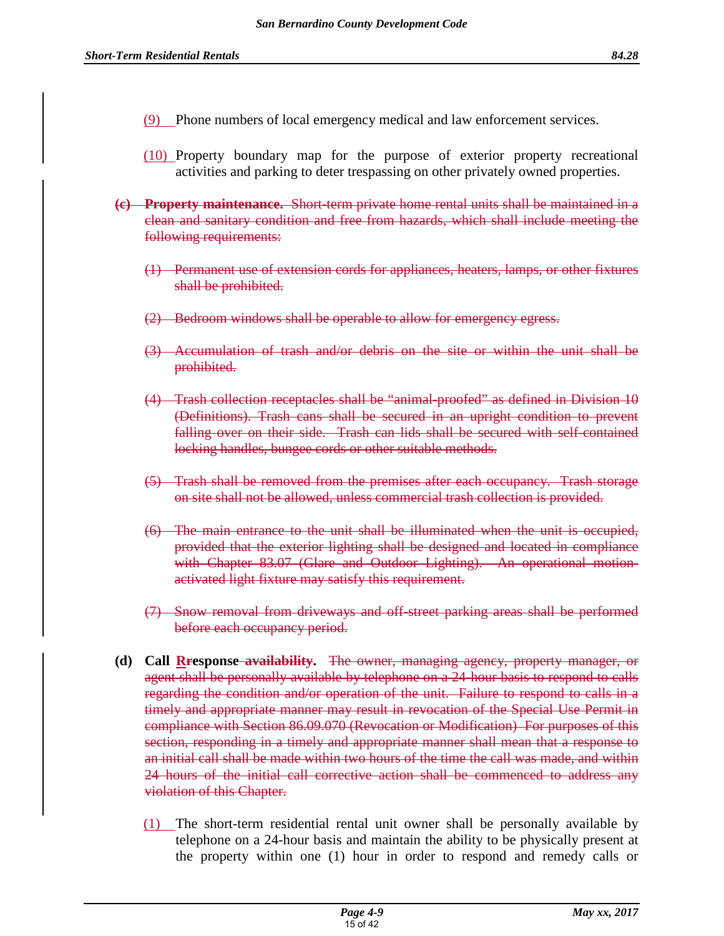- (9) Phone numbers of local emergency medical and law enforcement services.
- (10) Property boundary map for the purpose of exterior property recreational activities and parking to deter trespassing on other privately owned properties.
- **(c) Property maintenance.** Short-term private home rental units shall be maintained in a clean and sanitary condition and free from hazards, which shall include meeting the following requirements:
	- (1) Permanent use of extension cords for appliances, heaters, lamps, or other fixtures shall be prohibited.
	- (2) Bedroom windows shall be operable to allow for emergency egress.
	- (3) Accumulation of trash and/or debris on the site or within the unit shall be prohibited.
	- (4) Trash collection receptacles shall be "animal-proofed" as defined in Division 10 (Definitions). Trash cans shall be secured in an upright condition to prevent falling over on their side. Trash can lids shall be secured with self-contained locking handles, bungee cords or other suitable methods.
	- (5) Trash shall be removed from the premises after each occupancy. Trash storage on site shall not be allowed, unless commercial trash collection is provided.
	- (6) The main entrance to the unit shall be illuminated when the unit is occupied, provided that the exterior lighting shall be designed and located in compliance with Chapter 83.07 (Glare and Outdoor Lighting). An operational motionactivated light fixture may satisfy this requirement.
	- (7) Snow removal from driveways and off-street parking areas shall be performed before each occupancy period.
- **(d) Call Rresponse availability.** The owner, managing agency, property manager, or agent shall be personally available by telephone on a 24-hour basis to respond to calls regarding the condition and/or operation of the unit. Failure to respond to calls in a timely and appropriate manner may result in revocation of the Special Use Permit in compliance with Section 86.09.070 (Revocation or Modification) For purposes of this section, responding in a timely and appropriate manner shall mean that a response to an initial call shall be made within two hours of the time the call was made, and within 24 hours of the initial call corrective action shall be commenced to address any violation of this Chapter.
	- (1) The short-term residential rental unit owner shall be personally available by telephone on a 24-hour basis and maintain the ability to be physically present at the property within one (1) hour in order to respond and remedy calls or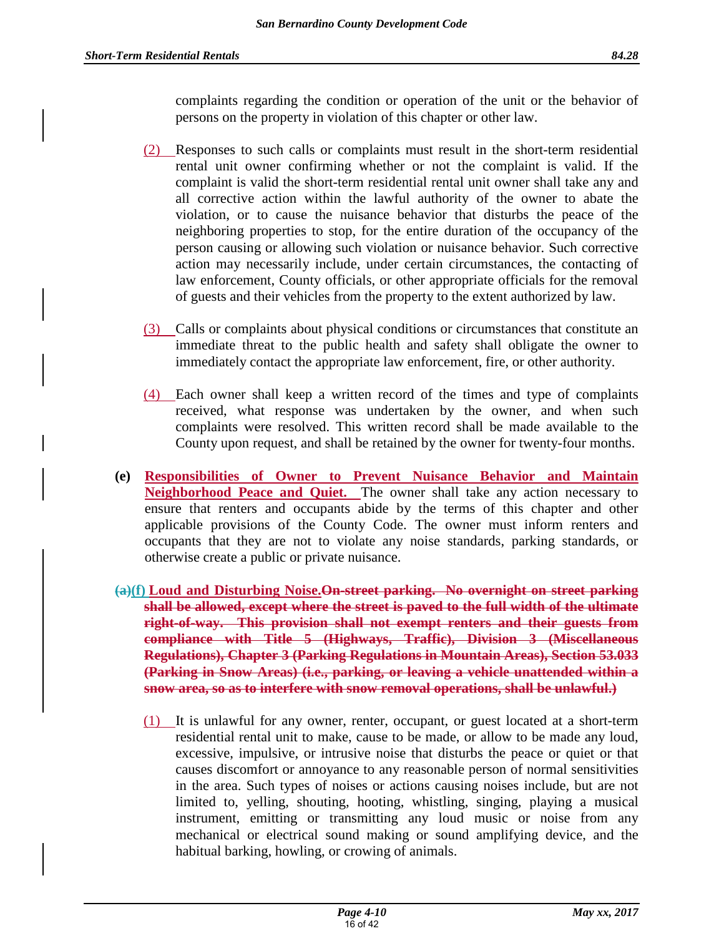complaints regarding the condition or operation of the unit or the behavior of persons on the property in violation of this chapter or other law.

- (2) Responses to such calls or complaints must result in the short-term residential rental unit owner confirming whether or not the complaint is valid. If the complaint is valid the short-term residential rental unit owner shall take any and all corrective action within the lawful authority of the owner to abate the violation, or to cause the nuisance behavior that disturbs the peace of the neighboring properties to stop, for the entire duration of the occupancy of the person causing or allowing such violation or nuisance behavior. Such corrective action may necessarily include, under certain circumstances, the contacting of law enforcement, County officials, or other appropriate officials for the removal of guests and their vehicles from the property to the extent authorized by law.
- (3) Calls or complaints about physical conditions or circumstances that constitute an immediate threat to the public health and safety shall obligate the owner to immediately contact the appropriate law enforcement, fire, or other authority.
- (4) Each owner shall keep a written record of the times and type of complaints received, what response was undertaken by the owner, and when such complaints were resolved. This written record shall be made available to the County upon request, and shall be retained by the owner for twenty-four months.
- **(e) Responsibilities of Owner to Prevent Nuisance Behavior and Maintain Neighborhood Peace and Quiet.** The owner shall take any action necessary to ensure that renters and occupants abide by the terms of this chapter and other applicable provisions of the County Code. The owner must inform renters and occupants that they are not to violate any noise standards, parking standards, or otherwise create a public or private nuisance.
- **(a)(f) Loud and Disturbing Noise.On-street parking. No overnight on street parking shall be allowed, except where the street is paved to the full width of the ultimate right-of-way. This provision shall not exempt renters and their guests from compliance with Title 5 (Highways, Traffic), Division 3 (Miscellaneous Regulations), Chapter 3 (Parking Regulations in Mountain Areas), Section 53.033 (Parking in Snow Areas) (i.e., parking, or leaving a vehicle unattended within a snow area, so as to interfere with snow removal operations, shall be unlawful.)**
	- (1) It is unlawful for any owner, renter, occupant, or guest located at a short-term residential rental unit to make, cause to be made, or allow to be made any loud, excessive, impulsive, or intrusive noise that disturbs the peace or quiet or that causes discomfort or annoyance to any reasonable person of normal sensitivities in the area. Such types of noises or actions causing noises include, but are not limited to, yelling, shouting, hooting, whistling, singing, playing a musical instrument, emitting or transmitting any loud music or noise from any mechanical or electrical sound making or sound amplifying device, and the habitual barking, howling, or crowing of animals.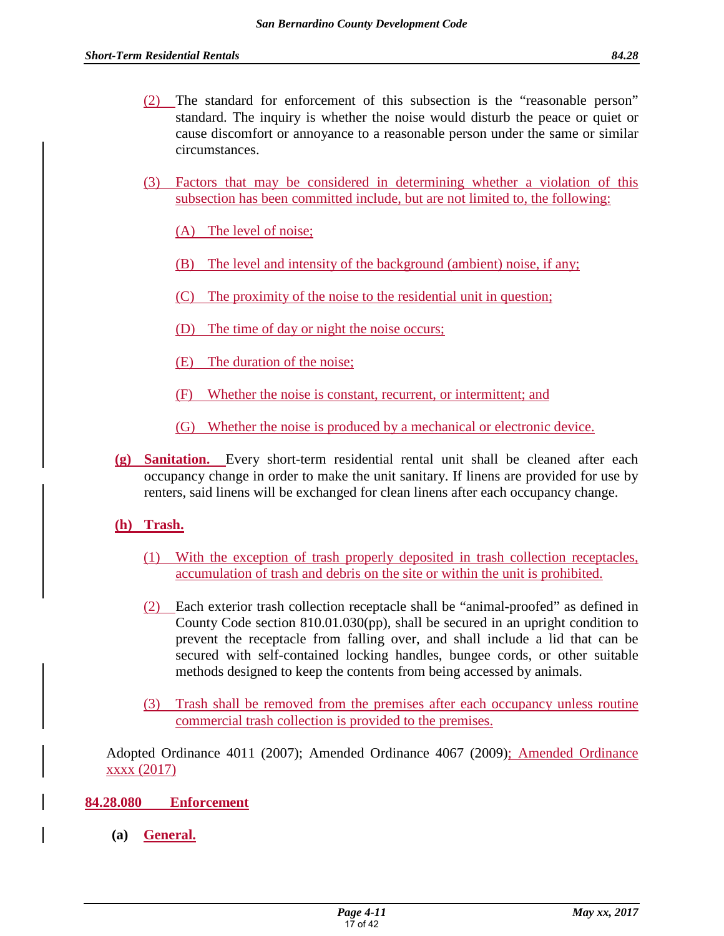- (2) The standard for enforcement of this subsection is the "reasonable person" standard. The inquiry is whether the noise would disturb the peace or quiet or cause discomfort or annoyance to a reasonable person under the same or similar circumstances.
- (3) Factors that may be considered in determining whether a violation of this subsection has been committed include, but are not limited to, the following:

(A) The level of noise;

- (B) The level and intensity of the background (ambient) noise, if any;
- (C) The proximity of the noise to the residential unit in question;
- (D) The time of day or night the noise occurs;
- (E) The duration of the noise;
- (F) Whether the noise is constant, recurrent, or intermittent; and
- (G) Whether the noise is produced by a mechanical or electronic device.
- **(g) Sanitation.** Every short-term residential rental unit shall be cleaned after each occupancy change in order to make the unit sanitary. If linens are provided for use by renters, said linens will be exchanged for clean linens after each occupancy change.

# **(h) Trash.**

- (1) With the exception of trash properly deposited in trash collection receptacles, accumulation of trash and debris on the site or within the unit is prohibited.
- (2) Each exterior trash collection receptacle shall be "animal-proofed" as defined in County Code section 810.01.030(pp), shall be secured in an upright condition to prevent the receptacle from falling over, and shall include a lid that can be secured with self-contained locking handles, bungee cords, or other suitable methods designed to keep the contents from being accessed by animals.
- (3) Trash shall be removed from the premises after each occupancy unless routine commercial trash collection is provided to the premises.

Adopted Ordinance 4011 (2007); Amended Ordinance 4067 (2009); Amended Ordinance xxxx (2017)

# **84.28.080 Enforcement**

**(a) General.**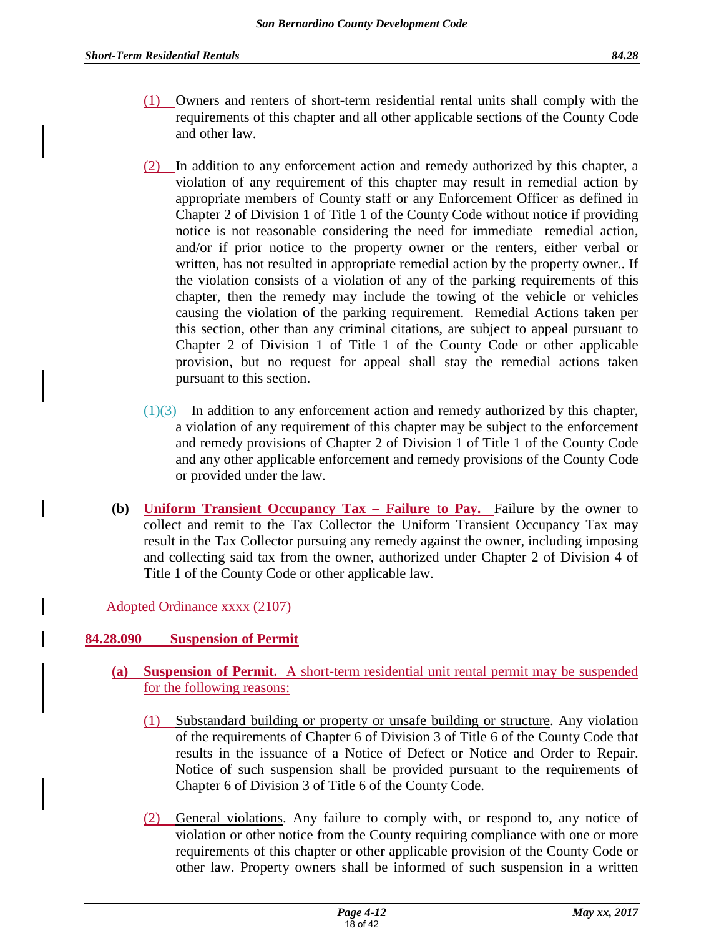- (1) Owners and renters of short-term residential rental units shall comply with the requirements of this chapter and all other applicable sections of the County Code and other law.
- (2) In addition to any enforcement action and remedy authorized by this chapter, a violation of any requirement of this chapter may result in remedial action by appropriate members of County staff or any Enforcement Officer as defined in Chapter 2 of Division 1 of Title 1 of the County Code without notice if providing notice is not reasonable considering the need for immediate remedial action, and/or if prior notice to the property owner or the renters, either verbal or written, has not resulted in appropriate remedial action by the property owner.. If the violation consists of a violation of any of the parking requirements of this chapter, then the remedy may include the towing of the vehicle or vehicles causing the violation of the parking requirement. Remedial Actions taken per this section, other than any criminal citations, are subject to appeal pursuant to Chapter 2 of Division 1 of Title 1 of the County Code or other applicable provision, but no request for appeal shall stay the remedial actions taken pursuant to this section.
- $(1)(3)$  In addition to any enforcement action and remedy authorized by this chapter, a violation of any requirement of this chapter may be subject to the enforcement and remedy provisions of Chapter 2 of Division 1 of Title 1 of the County Code and any other applicable enforcement and remedy provisions of the County Code or provided under the law.
- **(b) Uniform Transient Occupancy Tax Failure to Pay.** Failure by the owner to collect and remit to the Tax Collector the Uniform Transient Occupancy Tax may result in the Tax Collector pursuing any remedy against the owner, including imposing and collecting said tax from the owner, authorized under Chapter 2 of Division 4 of Title 1 of the County Code or other applicable law.

Adopted Ordinance xxxx (2107)

# **84.28.090 Suspension of Permit**

- **(a) Suspension of Permit.** A short-term residential unit rental permit may be suspended for the following reasons:
	- (1) Substandard building or property or unsafe building or structure. Any violation of the requirements of Chapter 6 of Division 3 of Title 6 of the County Code that results in the issuance of a Notice of Defect or Notice and Order to Repair. Notice of such suspension shall be provided pursuant to the requirements of Chapter 6 of Division 3 of Title 6 of the County Code.
	- (2) General violations. Any failure to comply with, or respond to, any notice of violation or other notice from the County requiring compliance with one or more requirements of this chapter or other applicable provision of the County Code or other law. Property owners shall be informed of such suspension in a written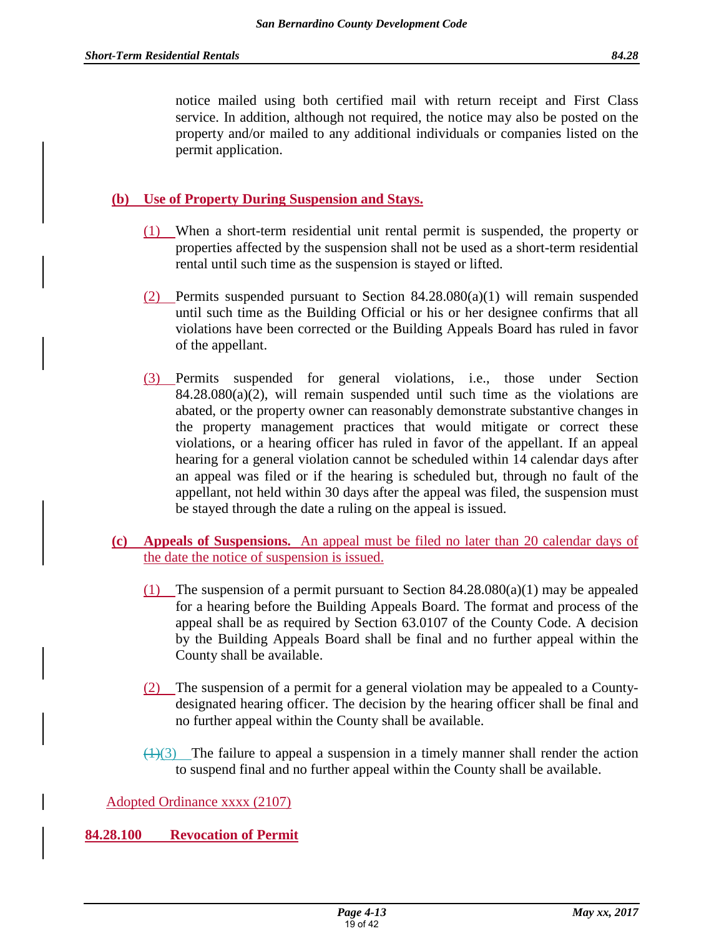notice mailed using both certified mail with return receipt and First Class service. In addition, although not required, the notice may also be posted on the property and/or mailed to any additional individuals or companies listed on the permit application.

# **(b) Use of Property During Suspension and Stays.**

- (1) When a short-term residential unit rental permit is suspended, the property or properties affected by the suspension shall not be used as a short-term residential rental until such time as the suspension is stayed or lifted.
- (2) Permits suspended pursuant to Section  $84.28.080(a)(1)$  will remain suspended until such time as the Building Official or his or her designee confirms that all violations have been corrected or the Building Appeals Board has ruled in favor of the appellant.
- (3) Permits suspended for general violations, i.e., those under Section  $84.28.080(a)(2)$ , will remain suspended until such time as the violations are abated, or the property owner can reasonably demonstrate substantive changes in the property management practices that would mitigate or correct these violations, or a hearing officer has ruled in favor of the appellant. If an appeal hearing for a general violation cannot be scheduled within 14 calendar days after an appeal was filed or if the hearing is scheduled but, through no fault of the appellant, not held within 30 days after the appeal was filed, the suspension must be stayed through the date a ruling on the appeal is issued.
- **(c) Appeals of Suspensions.** An appeal must be filed no later than 20 calendar days of the date the notice of suspension is issued.
	- (1) The suspension of a permit pursuant to Section  $84.28.080(a)(1)$  may be appealed for a hearing before the Building Appeals Board. The format and process of the appeal shall be as required by Section 63.0107 of the County Code. A decision by the Building Appeals Board shall be final and no further appeal within the County shall be available.
	- (2) The suspension of a permit for a general violation may be appealed to a Countydesignated hearing officer. The decision by the hearing officer shall be final and no further appeal within the County shall be available.
	- $(1)(3)$  The failure to appeal a suspension in a timely manner shall render the action to suspend final and no further appeal within the County shall be available.

# Adopted Ordinance xxxx (2107)

**84.28.100 Revocation of Permit**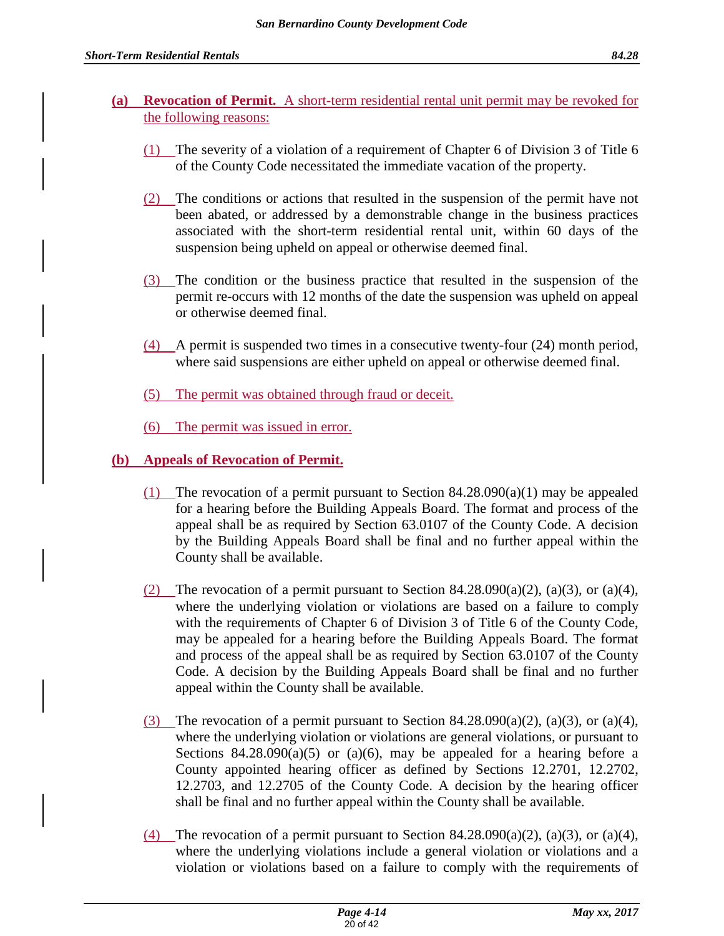# **(a) Revocation of Permit.** A short-term residential rental unit permit may be revoked for the following reasons:

- (1) The severity of a violation of a requirement of Chapter 6 of Division 3 of Title 6 of the County Code necessitated the immediate vacation of the property.
- (2) The conditions or actions that resulted in the suspension of the permit have not been abated, or addressed by a demonstrable change in the business practices associated with the short-term residential rental unit, within 60 days of the suspension being upheld on appeal or otherwise deemed final.
- (3) The condition or the business practice that resulted in the suspension of the permit re-occurs with 12 months of the date the suspension was upheld on appeal or otherwise deemed final.
- (4) A permit is suspended two times in a consecutive twenty-four (24) month period, where said suspensions are either upheld on appeal or otherwise deemed final.
- (5) The permit was obtained through fraud or deceit.
- (6) The permit was issued in error.

# **(b) Appeals of Revocation of Permit.**

- (1) The revocation of a permit pursuant to Section  $84.28.090(a)(1)$  may be appealed for a hearing before the Building Appeals Board. The format and process of the appeal shall be as required by Section 63.0107 of the County Code. A decision by the Building Appeals Board shall be final and no further appeal within the County shall be available.
- (2) The revocation of a permit pursuant to Section 84.28.090(a)(2), (a)(3), or (a)(4), where the underlying violation or violations are based on a failure to comply with the requirements of Chapter 6 of Division 3 of Title 6 of the County Code, may be appealed for a hearing before the Building Appeals Board. The format and process of the appeal shall be as required by Section 63.0107 of the County Code. A decision by the Building Appeals Board shall be final and no further appeal within the County shall be available.
- (3) The revocation of a permit pursuant to Section 84.28.090(a)(2), (a)(3), or (a)(4), where the underlying violation or violations are general violations, or pursuant to Sections  $84.28.090(a)(5)$  or  $(a)(6)$ , may be appealed for a hearing before a County appointed hearing officer as defined by Sections 12.2701, 12.2702, 12.2703, and 12.2705 of the County Code. A decision by the hearing officer shall be final and no further appeal within the County shall be available.
- (4) The revocation of a permit pursuant to Section  $84.28.090(a)(2)$ ,  $(a)(3)$ , or  $(a)(4)$ , where the underlying violations include a general violation or violations and a violation or violations based on a failure to comply with the requirements of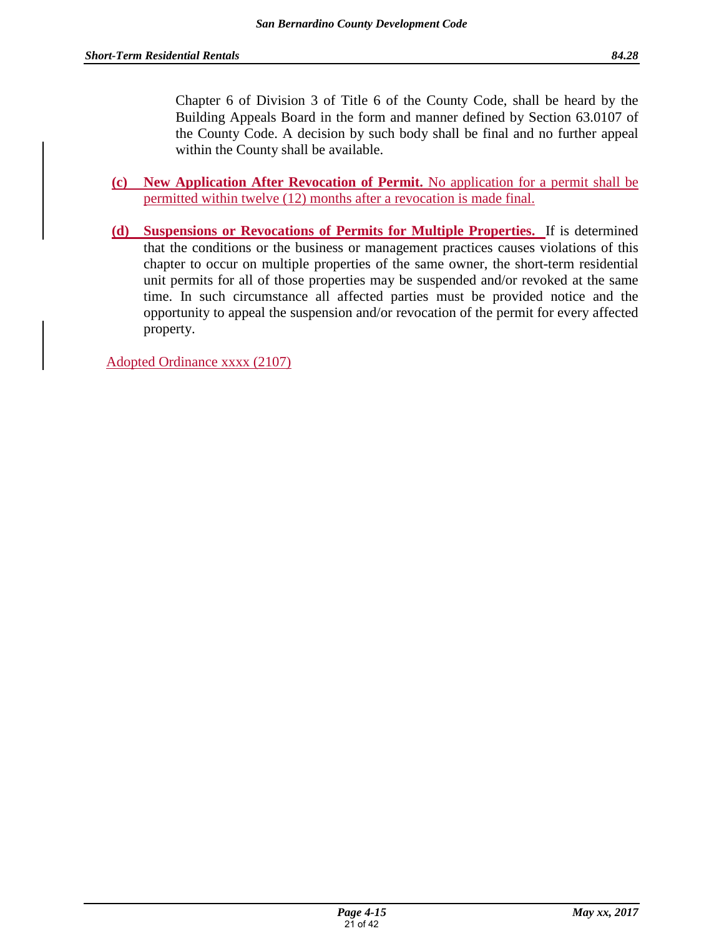Chapter 6 of Division 3 of Title 6 of the County Code, shall be heard by the Building Appeals Board in the form and manner defined by Section 63.0107 of the County Code. A decision by such body shall be final and no further appeal within the County shall be available.

- **(c) New Application After Revocation of Permit.** No application for a permit shall be permitted within twelve (12) months after a revocation is made final.
- **(d) Suspensions or Revocations of Permits for Multiple Properties.** If is determined that the conditions or the business or management practices causes violations of this chapter to occur on multiple properties of the same owner, the short-term residential unit permits for all of those properties may be suspended and/or revoked at the same time. In such circumstance all affected parties must be provided notice and the opportunity to appeal the suspension and/or revocation of the permit for every affected property.

Adopted Ordinance xxxx (2107)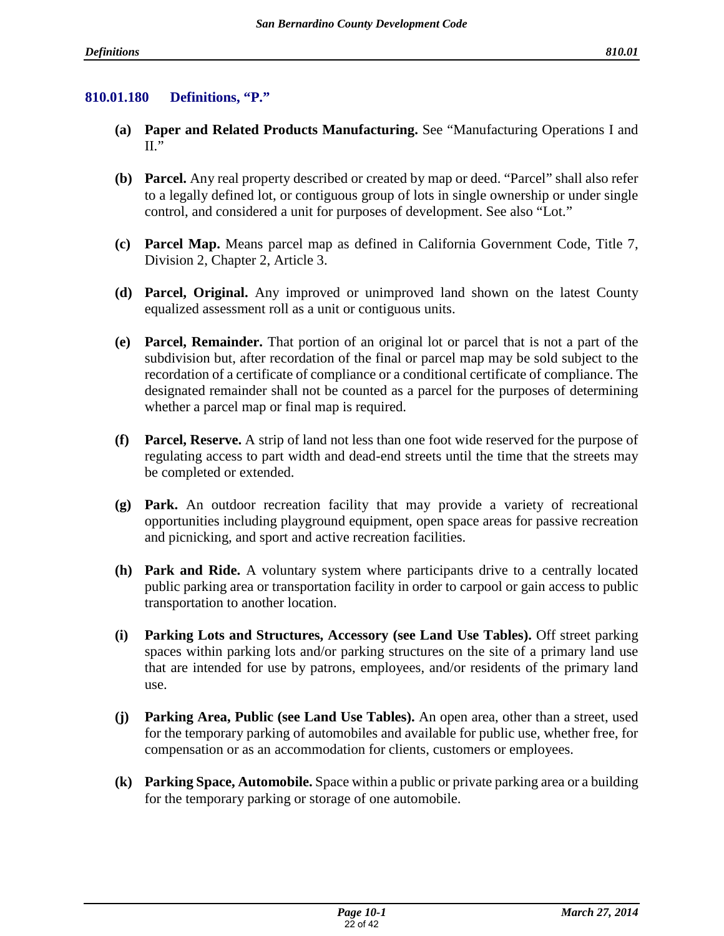# **810.01.180 Definitions, "P."**

- **(a) Paper and Related Products Manufacturing.** See "Manufacturing Operations I and  $II.$ <sup>"</sup>
- **(b) Parcel.** Any real property described or created by map or deed. "Parcel" shall also refer to a legally defined lot, or contiguous group of lots in single ownership or under single control, and considered a unit for purposes of development. See also "Lot."
- **(c) Parcel Map.** Means parcel map as defined in California Government Code, Title 7, Division 2, Chapter 2, Article 3.
- **(d) Parcel, Original.** Any improved or unimproved land shown on the latest County equalized assessment roll as a unit or contiguous units.
- **(e) Parcel, Remainder.** That portion of an original lot or parcel that is not a part of the subdivision but, after recordation of the final or parcel map may be sold subject to the recordation of a certificate of compliance or a conditional certificate of compliance. The designated remainder shall not be counted as a parcel for the purposes of determining whether a parcel map or final map is required.
- **(f) Parcel, Reserve.** A strip of land not less than one foot wide reserved for the purpose of regulating access to part width and dead-end streets until the time that the streets may be completed or extended.
- **(g) Park.** An outdoor recreation facility that may provide a variety of recreational opportunities including playground equipment, open space areas for passive recreation and picnicking, and sport and active recreation facilities.
- **(h) Park and Ride.** A voluntary system where participants drive to a centrally located public parking area or transportation facility in order to carpool or gain access to public transportation to another location.
- **(i) Parking Lots and Structures, Accessory (see Land Use Tables).** Off street parking spaces within parking lots and/or parking structures on the site of a primary land use that are intended for use by patrons, employees, and/or residents of the primary land use.
- **(j) Parking Area, Public (see Land Use Tables).** An open area, other than a street, used for the temporary parking of automobiles and available for public use, whether free, for compensation or as an accommodation for clients, customers or employees.
- **(k) Parking Space, Automobile.** Space within a public or private parking area or a building for the temporary parking or storage of one automobile.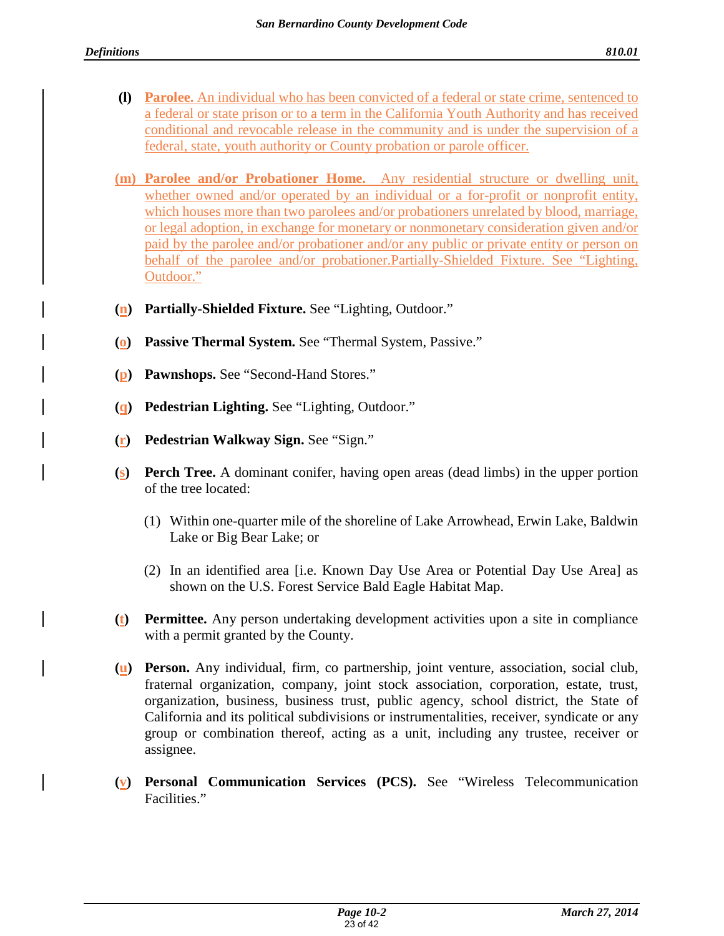- **(l) Parolee.** An individual who has been convicted of a federal or state crime, sentenced to a federal or state prison or to a term in the California Youth Authority and has received conditional and revocable release in the community and is under the supervision of a federal, state, youth authority or County probation or parole officer.
- **(m) Parolee and/or Probationer Home.** Any residential structure or dwelling unit, whether owned and/or operated by an individual or a for-profit or nonprofit entity, which houses more than two parolees and/or probationers unrelated by blood, marriage, or legal adoption, in exchange for monetary or nonmonetary consideration given and/or paid by the parolee and/or probationer and/or any public or private entity or person on behalf of the parolee and/or probationer.Partially-Shielded Fixture. See "Lighting, Outdoor."
- **(n) Partially-Shielded Fixture.** See "Lighting, Outdoor."
- **(o) Passive Thermal System.** See "Thermal System, Passive."
- **(p) Pawnshops.** See "Second-Hand Stores."
- **(q) Pedestrian Lighting.** See "Lighting, Outdoor."
- **(r) Pedestrian Walkway Sign.** See "Sign."
- **(s) Perch Tree.** A dominant conifer, having open areas (dead limbs) in the upper portion of the tree located:
	- (1) Within one-quarter mile of the shoreline of Lake Arrowhead, Erwin Lake, Baldwin Lake or Big Bear Lake; or
	- (2) In an identified area [i.e. Known Day Use Area or Potential Day Use Area] as shown on the U.S. Forest Service Bald Eagle Habitat Map.
- **(t) Permittee.** Any person undertaking development activities upon a site in compliance with a permit granted by the County.
- **(u) Person.** Any individual, firm, co partnership, joint venture, association, social club, fraternal organization, company, joint stock association, corporation, estate, trust, organization, business, business trust, public agency, school district, the State of California and its political subdivisions or instrumentalities, receiver, syndicate or any group or combination thereof, acting as a unit, including any trustee, receiver or assignee.
- **(v) Personal Communication Services (PCS).** See "Wireless Telecommunication Facilities."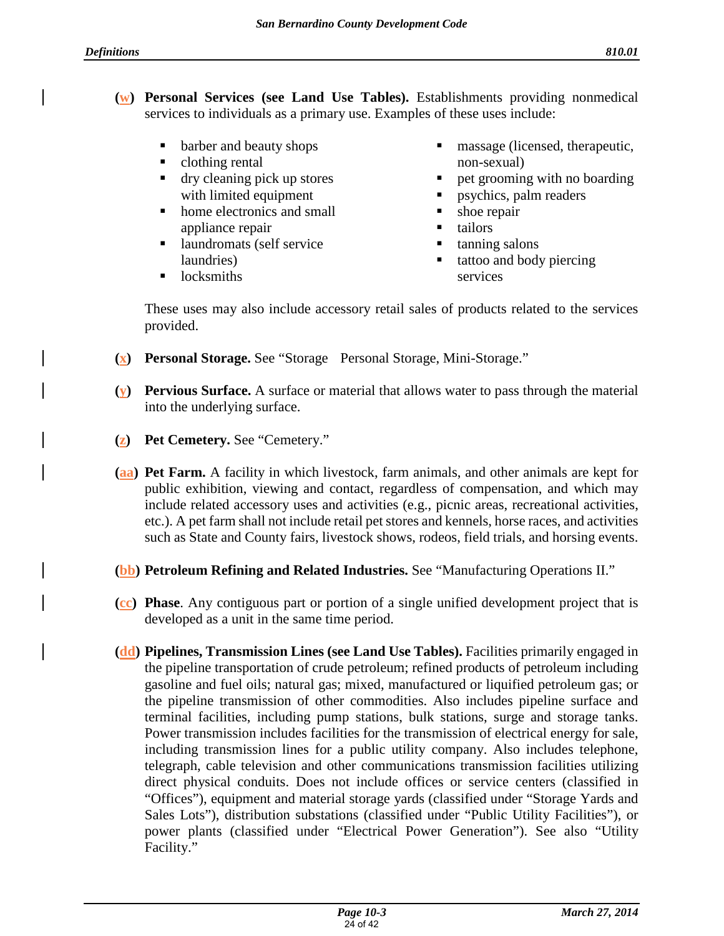- **(w) Personal Services (see Land Use Tables).** Establishments providing nonmedical services to individuals as a primary use. Examples of these uses include:
	- barber and beauty shops
	- clothing rental
	- dry cleaning pick up stores with limited equipment
	- home electronics and small appliance repair
	- laundromats (self service laundries)
	- $\blacksquare$  locksmiths
- massage (licensed, therapeutic, non-sexual)
- pet grooming with no boarding
- **p**sychics, palm readers
- shoe repair
- **tailors**
- tanning salons
- tattoo and body piercing services

These uses may also include accessory retail sales of products related to the services provided.

- **(x) Personal Storage.** See "Storage Personal Storage, Mini-Storage."
- **(y) Pervious Surface.** A surface or material that allows water to pass through the material into the underlying surface.
- **(z) Pet Cemetery.** See "Cemetery."
- **(aa) Pet Farm.** A facility in which livestock, farm animals, and other animals are kept for public exhibition, viewing and contact, regardless of compensation, and which may include related accessory uses and activities (e.g., picnic areas, recreational activities, etc.). A pet farm shall not include retail pet stores and kennels, horse races, and activities such as State and County fairs, livestock shows, rodeos, field trials, and horsing events.
- **(bb) Petroleum Refining and Related Industries.** See "Manufacturing Operations II."
- **(cc) Phase**. Any contiguous part or portion of a single unified development project that is developed as a unit in the same time period.
- **(dd) Pipelines, Transmission Lines (see Land Use Tables).** Facilities primarily engaged in the pipeline transportation of crude petroleum; refined products of petroleum including gasoline and fuel oils; natural gas; mixed, manufactured or liquified petroleum gas; or the pipeline transmission of other commodities. Also includes pipeline surface and terminal facilities, including pump stations, bulk stations, surge and storage tanks. Power transmission includes facilities for the transmission of electrical energy for sale, including transmission lines for a public utility company. Also includes telephone, telegraph, cable television and other communications transmission facilities utilizing direct physical conduits. Does not include offices or service centers (classified in "Offices"), equipment and material storage yards (classified under "Storage Yards and Sales Lots"), distribution substations (classified under "Public Utility Facilities"), or power plants (classified under "Electrical Power Generation"). See also "Utility Facility."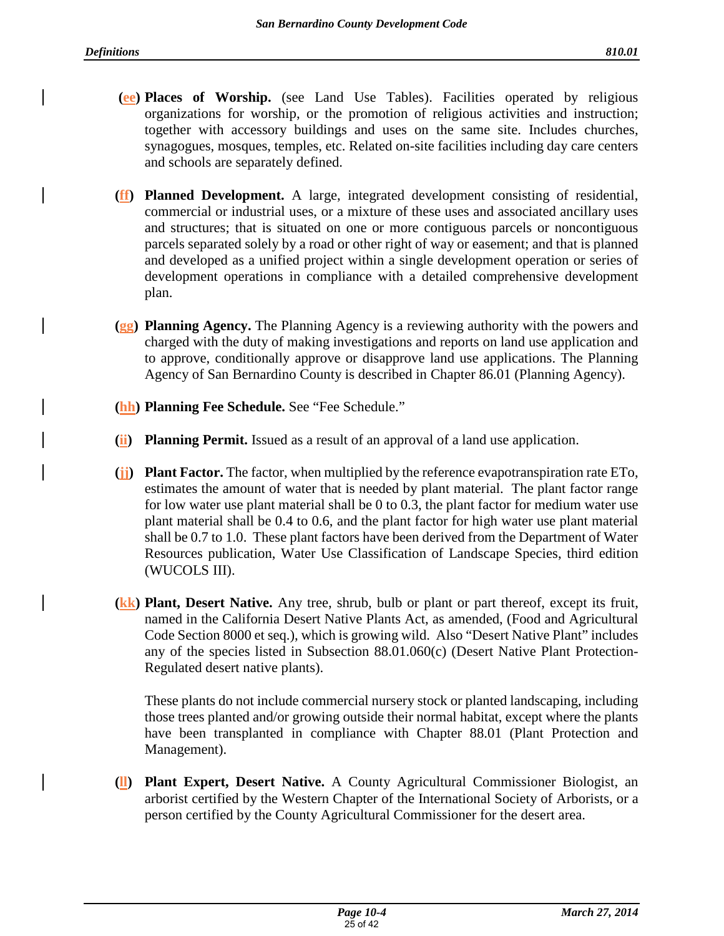- **(ee) Places of Worship.** (see Land Use Tables). Facilities operated by religious organizations for worship, or the promotion of religious activities and instruction; together with accessory buildings and uses on the same site. Includes churches, synagogues, mosques, temples, etc. Related on-site facilities including day care centers and schools are separately defined.
- **(ff) Planned Development.** A large, integrated development consisting of residential, commercial or industrial uses, or a mixture of these uses and associated ancillary uses and structures; that is situated on one or more contiguous parcels or noncontiguous parcels separated solely by a road or other right of way or easement; and that is planned and developed as a unified project within a single development operation or series of development operations in compliance with a detailed comprehensive development plan.
- **(gg) Planning Agency.** The Planning Agency is a reviewing authority with the powers and charged with the duty of making investigations and reports on land use application and to approve, conditionally approve or disapprove land use applications. The Planning Agency of San Bernardino County is described in Chapter 86.01 (Planning Agency).
- **(hh) Planning Fee Schedule.** See "Fee Schedule."
- **(ii) Planning Permit.** Issued as a result of an approval of a land use application.
- **(jj) Plant Factor.** The factor, when multiplied by the reference evapotranspiration rate ETo, estimates the amount of water that is needed by plant material. The plant factor range for low water use plant material shall be 0 to 0.3, the plant factor for medium water use plant material shall be 0.4 to 0.6, and the plant factor for high water use plant material shall be 0.7 to 1.0. These plant factors have been derived from the Department of Water Resources publication, Water Use Classification of Landscape Species, third edition (WUCOLS III).
- **(kk) Plant, Desert Native.** Any tree, shrub, bulb or plant or part thereof, except its fruit, named in the California Desert Native Plants Act, as amended, (Food and Agricultural Code Section 8000 et seq.), which is growing wild. Also "Desert Native Plant" includes any of the species listed in Subsection 88.01.060(c) (Desert Native Plant Protection-Regulated desert native plants).

These plants do not include commercial nursery stock or planted landscaping, including those trees planted and/or growing outside their normal habitat, except where the plants have been transplanted in compliance with Chapter 88.01 (Plant Protection and Management).

**(ll) Plant Expert, Desert Native.** A County Agricultural Commissioner Biologist, an arborist certified by the Western Chapter of the International Society of Arborists, or a person certified by the County Agricultural Commissioner for the desert area.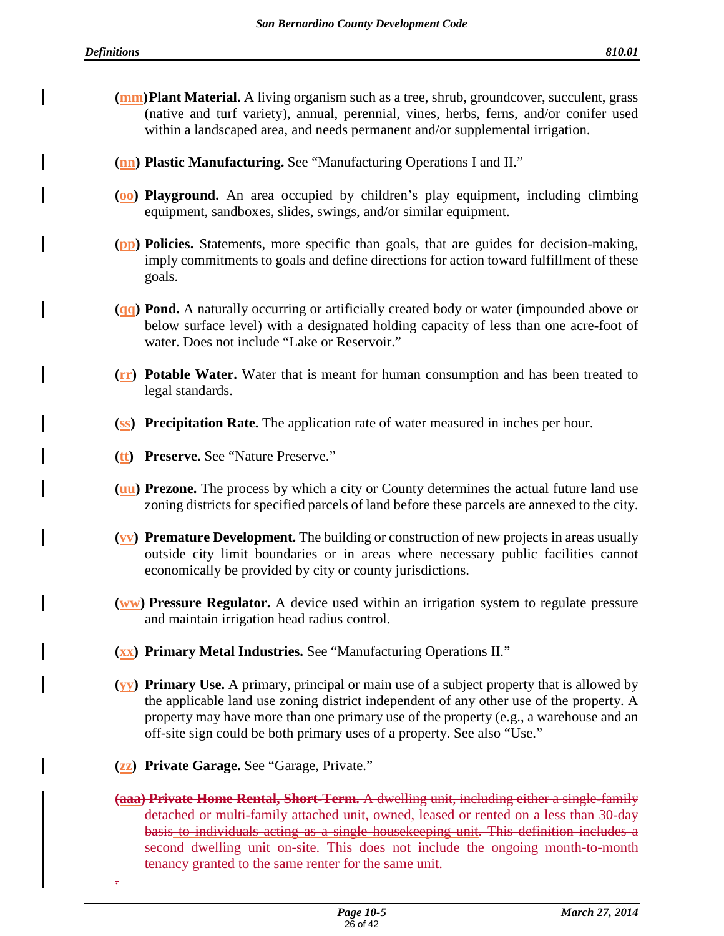- **(mm) Plant Material.** A living organism such as a tree, shrub, groundcover, succulent, grass (native and turf variety), annual, perennial, vines, herbs, ferns, and/or conifer used within a landscaped area, and needs permanent and/or supplemental irrigation.
- **(nn) Plastic Manufacturing.** See "Manufacturing Operations I and II."
- **(oo) Playground.** An area occupied by children's play equipment, including climbing equipment, sandboxes, slides, swings, and/or similar equipment.
- **(pp) Policies.** Statements, more specific than goals, that are guides for decision-making, imply commitments to goals and define directions for action toward fulfillment of these goals.
- **(qq) Pond.** A naturally occurring or artificially created body or water (impounded above or below surface level) with a designated holding capacity of less than one acre-foot of water. Does not include "Lake or Reservoir."
- **(rr) Potable Water.** Water that is meant for human consumption and has been treated to legal standards.
- **(ss) Precipitation Rate.** The application rate of water measured in inches per hour.
- **(tt) Preserve.** See "Nature Preserve."
- **(uu) Prezone.** The process by which a city or County determines the actual future land use zoning districts for specified parcels of land before these parcels are annexed to the city.
- **(vv) Premature Development.** The building or construction of new projects in areas usually outside city limit boundaries or in areas where necessary public facilities cannot economically be provided by city or county jurisdictions.
- **(ww) Pressure Regulator.** A device used within an irrigation system to regulate pressure and maintain irrigation head radius control.
- **(xx) Primary Metal Industries.** See "Manufacturing Operations II."
- **(yy) Primary Use.** A primary, principal or main use of a subject property that is allowed by the applicable land use zoning district independent of any other use of the property. A property may have more than one primary use of the property (e.g., a warehouse and an off-site sign could be both primary uses of a property. See also "Use."
- **(zz) Private Garage.** See "Garage, Private."
- **(aaa) Private Home Rental, Short-Term.** A dwelling unit, including either a single-family detached or multi-family attached unit, owned, leased or rented on a less than 30-day basis to individuals acting as a single housekeeping unit. This definition includes a second dwelling unit on-site. This does not include the ongoing month-to-month tenancy granted to the same renter for the same unit. .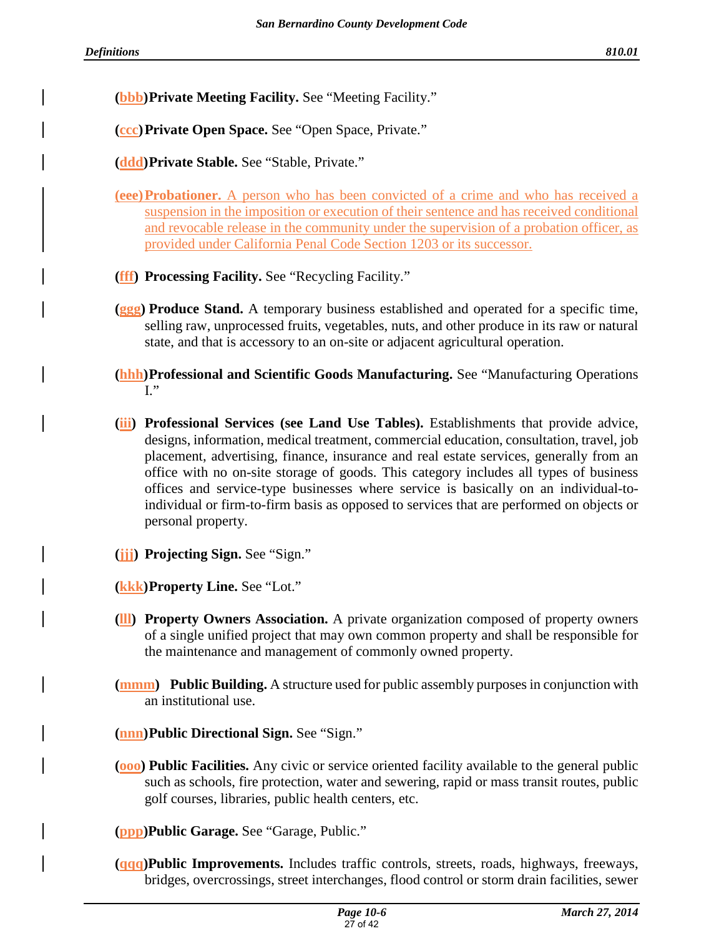**(bbb) Private Meeting Facility.** See "Meeting Facility."

**(ccc) Private Open Space.** See "Open Space, Private."

**(ddd) Private Stable.** See "Stable, Private."

- **(eee) Probationer.** A person who has been convicted of a crime and who has received a suspension in the imposition or execution of their sentence and has received conditional and revocable release in the community under the supervision of a probation officer, as provided under California Penal Code Section 1203 or its successor.
- **(fff) Processing Facility.** See "Recycling Facility."
- **(ggg) Produce Stand.** A temporary business established and operated for a specific time, selling raw, unprocessed fruits, vegetables, nuts, and other produce in its raw or natural state, and that is accessory to an on-site or adjacent agricultural operation.
- **(hhh) Professional and Scientific Goods Manufacturing.** See "Manufacturing Operations  $\mathbf{I}$ ."
- **(iii) Professional Services (see Land Use Tables).** Establishments that provide advice, designs, information, medical treatment, commercial education, consultation, travel, job placement, advertising, finance, insurance and real estate services, generally from an office with no on-site storage of goods. This category includes all types of business offices and service-type businesses where service is basically on an individual-toindividual or firm-to-firm basis as opposed to services that are performed on objects or personal property.
- **(jjj) Projecting Sign.** See "Sign."

**(kkk) Property Line.** See "Lot."

- **(lll) Property Owners Association.** A private organization composed of property owners of a single unified project that may own common property and shall be responsible for the maintenance and management of commonly owned property.
- **(mmm) Public Building.** A structure used for public assembly purposes in conjunction with an institutional use.
- **(nnn) Public Directional Sign.** See "Sign."
- **(ooo) Public Facilities.** Any civic or service oriented facility available to the general public such as schools, fire protection, water and sewering, rapid or mass transit routes, public golf courses, libraries, public health centers, etc.

**(ppp)Public Garage.** See "Garage, Public."

**(qqq)Public Improvements.** Includes traffic controls, streets, roads, highways, freeways, bridges, overcrossings, street interchanges, flood control or storm drain facilities, sewer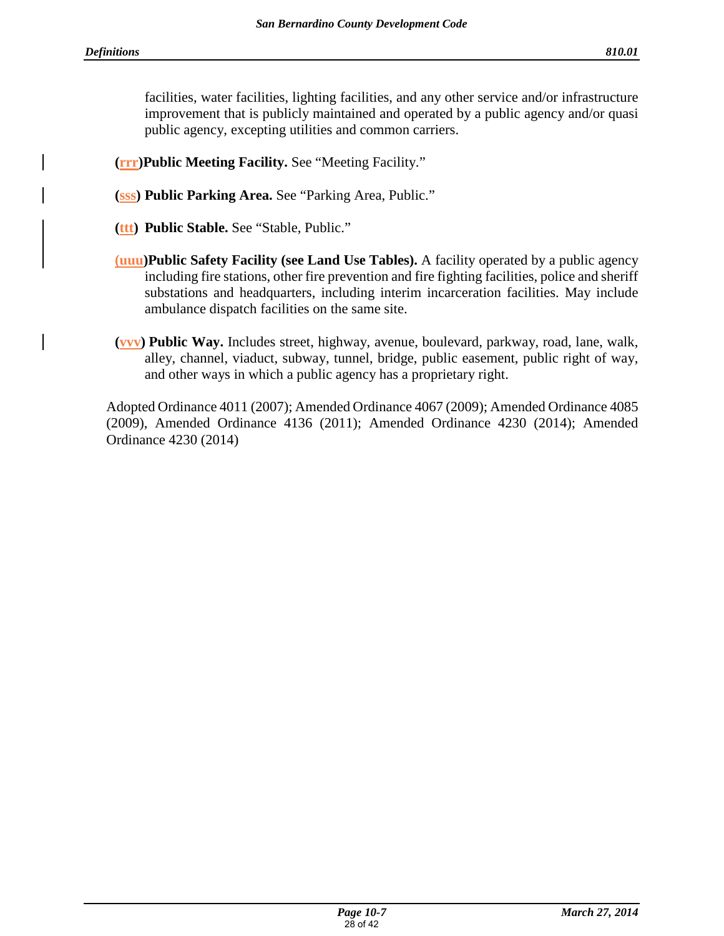facilities, water facilities, lighting facilities, and any other service and/or infrastructure improvement that is publicly maintained and operated by a public agency and/or quasi public agency, excepting utilities and common carriers.

**(rrr)Public Meeting Facility.** See "Meeting Facility."

- **(sss) Public Parking Area.** See "Parking Area, Public."
- **(ttt) Public Stable.** See "Stable, Public."
- **(uuu)Public Safety Facility (see Land Use Tables).** A facility operated by a public agency including fire stations, other fire prevention and fire fighting facilities, police and sheriff substations and headquarters, including interim incarceration facilities. May include ambulance dispatch facilities on the same site.
- **(vvv) Public Way.** Includes street, highway, avenue, boulevard, parkway, road, lane, walk, alley, channel, viaduct, subway, tunnel, bridge, public easement, public right of way, and other ways in which a public agency has a proprietary right.

Adopted Ordinance 4011 (2007); Amended Ordinance 4067 (2009); Amended Ordinance 4085 (2009), Amended Ordinance 4136 (2011); Amended Ordinance 4230 (2014); Amended Ordinance 4230 (2014)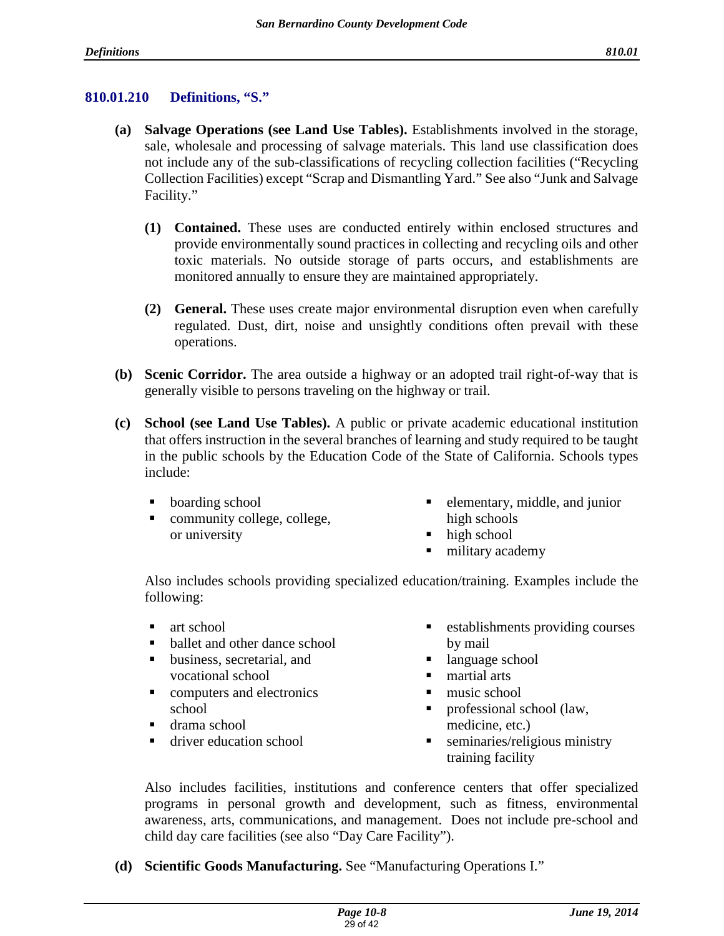#### **810.01.210 Definitions, "S."**

- **(a) Salvage Operations (see Land Use Tables).** Establishments involved in the storage, sale, wholesale and processing of salvage materials. This land use classification does not include any of the sub-classifications of recycling collection facilities ("Recycling Collection Facilities) except "Scrap and Dismantling Yard." See also "Junk and Salvage Facility."
	- **(1) Contained.** These uses are conducted entirely within enclosed structures and provide environmentally sound practices in collecting and recycling oils and other toxic materials. No outside storage of parts occurs, and establishments are monitored annually to ensure they are maintained appropriately.
	- **(2) General.** These uses create major environmental disruption even when carefully regulated. Dust, dirt, noise and unsightly conditions often prevail with these operations.
- **(b) Scenic Corridor.** The area outside a highway or an adopted trail right-of-way that is generally visible to persons traveling on the highway or trail.
- **(c) School (see Land Use Tables).** A public or private academic educational institution that offers instruction in the several branches of learning and study required to be taught in the public schools by the Education Code of the State of California. Schools types include:
	- boarding school
	- community college, college, or university
- **e** elementary, middle, and junior high schools
- high school
- military academy

Also includes schools providing specialized education/training. Examples include the following:

- $\blacksquare$  art school
- ballet and other dance school
- business, secretarial, and vocational school
- **computers and electronics** school
- drama school
- driver education school
- establishments providing courses by mail
- language school
- martial arts
- music school
- professional school (law, medicine, etc.)
- **seminaries/religious ministry** training facility

Also includes facilities, institutions and conference centers that offer specialized programs in personal growth and development, such as fitness, environmental awareness, arts, communications, and management. Does not include pre-school and child day care facilities (see also "Day Care Facility").

**(d) Scientific Goods Manufacturing.** See "Manufacturing Operations I."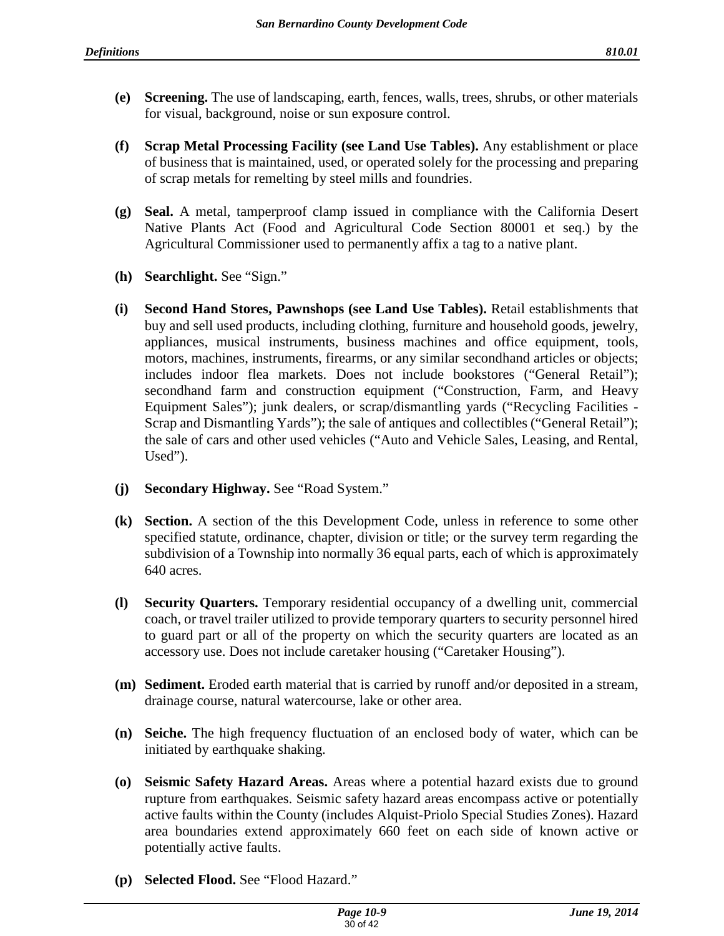- **(e) Screening.** The use of landscaping, earth, fences, walls, trees, shrubs, or other materials for visual, background, noise or sun exposure control.
- **(f) Scrap Metal Processing Facility (see Land Use Tables).** Any establishment or place of business that is maintained, used, or operated solely for the processing and preparing of scrap metals for remelting by steel mills and foundries.
- **(g) Seal.** A metal, tamperproof clamp issued in compliance with the California Desert Native Plants Act (Food and Agricultural Code Section 80001 et seq.) by the Agricultural Commissioner used to permanently affix a tag to a native plant.
- **(h) Searchlight.** See "Sign."
- **(i) Second Hand Stores, Pawnshops (see Land Use Tables).** Retail establishments that buy and sell used products, including clothing, furniture and household goods, jewelry, appliances, musical instruments, business machines and office equipment, tools, motors, machines, instruments, firearms, or any similar secondhand articles or objects; includes indoor flea markets. Does not include bookstores ("General Retail"); secondhand farm and construction equipment ("Construction, Farm, and Heavy Equipment Sales"); junk dealers, or scrap/dismantling yards ("Recycling Facilities - Scrap and Dismantling Yards"); the sale of antiques and collectibles ("General Retail"); the sale of cars and other used vehicles ("Auto and Vehicle Sales, Leasing, and Rental, Used").
- **(j) Secondary Highway.** See "Road System."
- **(k) Section.** A section of the this Development Code, unless in reference to some other specified statute, ordinance, chapter, division or title; or the survey term regarding the subdivision of a Township into normally 36 equal parts, each of which is approximately 640 acres.
- **(l) Security Quarters.** Temporary residential occupancy of a dwelling unit, commercial coach, or travel trailer utilized to provide temporary quarters to security personnel hired to guard part or all of the property on which the security quarters are located as an accessory use. Does not include caretaker housing ("Caretaker Housing").
- **(m) Sediment.** Eroded earth material that is carried by runoff and/or deposited in a stream, drainage course, natural watercourse, lake or other area.
- **(n) Seiche.** The high frequency fluctuation of an enclosed body of water, which can be initiated by earthquake shaking.
- **(o) Seismic Safety Hazard Areas.** Areas where a potential hazard exists due to ground rupture from earthquakes. Seismic safety hazard areas encompass active or potentially active faults within the County (includes Alquist-Priolo Special Studies Zones). Hazard area boundaries extend approximately 660 feet on each side of known active or potentially active faults.
- **(p) Selected Flood.** See "Flood Hazard."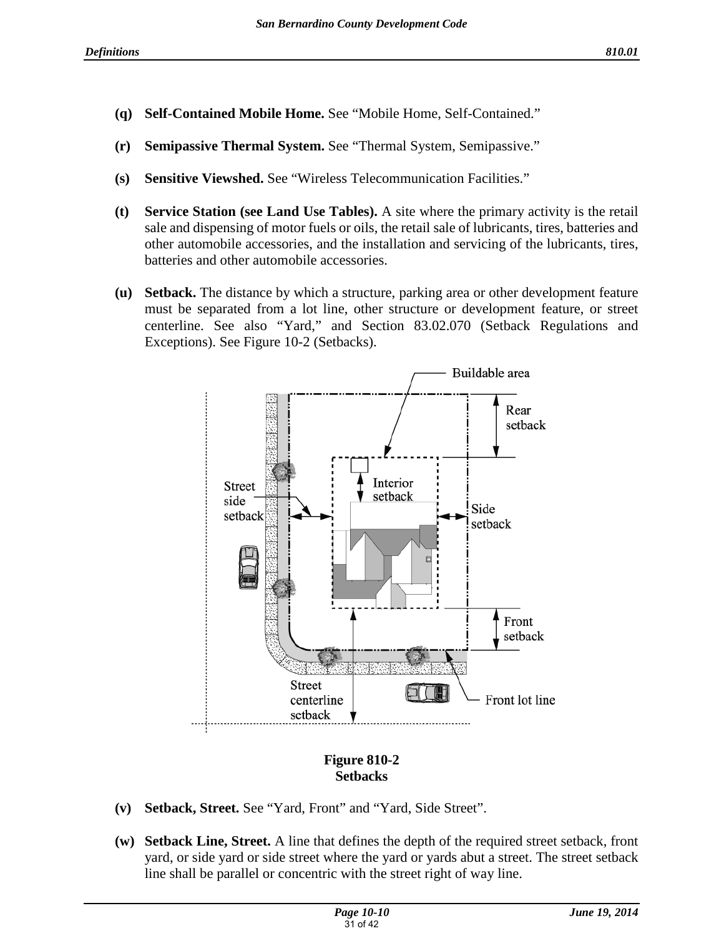- **(q) Self-Contained Mobile Home.** See "Mobile Home, Self-Contained."
- **(r) Semipassive Thermal System.** See "Thermal System, Semipassive."
- **(s) Sensitive Viewshed.** See "Wireless Telecommunication Facilities."
- **(t) Service Station (see Land Use Tables).** A site where the primary activity is the retail sale and dispensing of motor fuels or oils, the retail sale of lubricants, tires, batteries and other automobile accessories, and the installation and servicing of the lubricants, tires, batteries and other automobile accessories.
- **(u) Setback.** The distance by which a structure, parking area or other development feature must be separated from a lot line, other structure or development feature, or street centerline. See also "Yard," and Section 83.02.070 (Setback Regulations and Exceptions). See Figure 10-2 (Setbacks).



# **Figure 810-2 Setbacks**

- **(v) Setback, Street.** See "Yard, Front" and "Yard, Side Street".
- **(w) Setback Line, Street.** A line that defines the depth of the required street setback, front yard, or side yard or side street where the yard or yards abut a street. The street setback line shall be parallel or concentric with the street right of way line.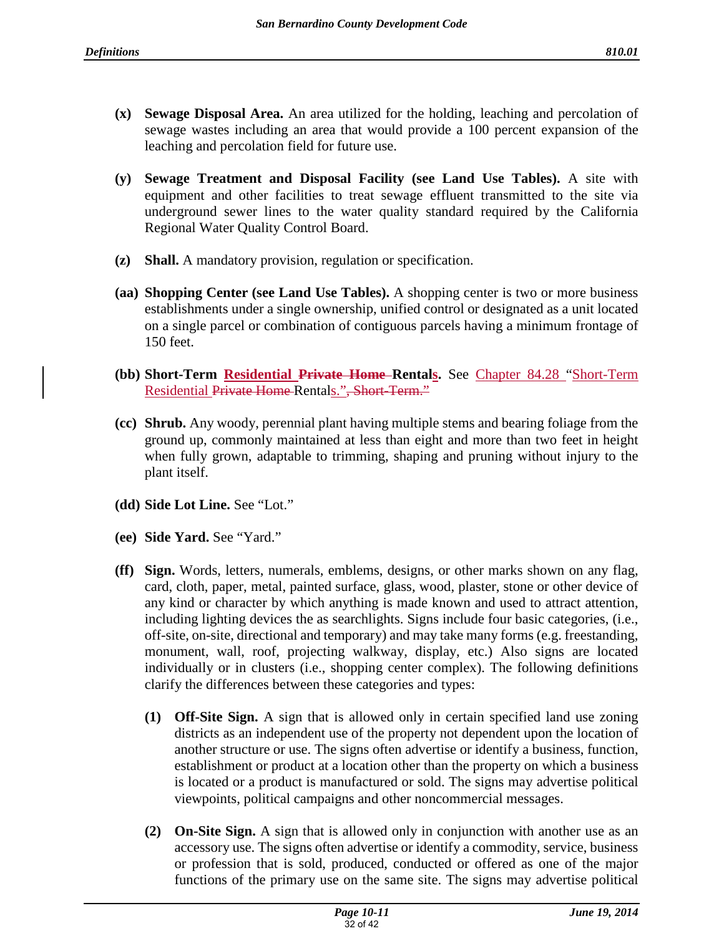- **(x) Sewage Disposal Area.** An area utilized for the holding, leaching and percolation of sewage wastes including an area that would provide a 100 percent expansion of the leaching and percolation field for future use.
- **(y) Sewage Treatment and Disposal Facility (see Land Use Tables).** A site with equipment and other facilities to treat sewage effluent transmitted to the site via underground sewer lines to the water quality standard required by the California Regional Water Quality Control Board.
- **(z) Shall.** A mandatory provision, regulation or specification.
- **(aa) Shopping Center (see Land Use Tables).** A shopping center is two or more business establishments under a single ownership, unified control or designated as a unit located on a single parcel or combination of contiguous parcels having a minimum frontage of 150 feet.
- **(bb) Short-Term Residential Private Home Rentals.** See Chapter 84.28 "Short-Term Residential Private Home Rentals.", Short-Term."
- **(cc) Shrub.** Any woody, perennial plant having multiple stems and bearing foliage from the ground up, commonly maintained at less than eight and more than two feet in height when fully grown, adaptable to trimming, shaping and pruning without injury to the plant itself.
- **(dd) Side Lot Line.** See "Lot."
- **(ee) Side Yard.** See "Yard."
- **(ff) Sign.** Words, letters, numerals, emblems, designs, or other marks shown on any flag, card, cloth, paper, metal, painted surface, glass, wood, plaster, stone or other device of any kind or character by which anything is made known and used to attract attention, including lighting devices the as searchlights. Signs include four basic categories, (i.e., off-site, on-site, directional and temporary) and may take many forms (e.g. freestanding, monument, wall, roof, projecting walkway, display, etc.) Also signs are located individually or in clusters (i.e., shopping center complex). The following definitions clarify the differences between these categories and types:
	- **(1) Off-Site Sign.** A sign that is allowed only in certain specified land use zoning districts as an independent use of the property not dependent upon the location of another structure or use. The signs often advertise or identify a business, function, establishment or product at a location other than the property on which a business is located or a product is manufactured or sold. The signs may advertise political viewpoints, political campaigns and other noncommercial messages.
	- **(2) On-Site Sign.** A sign that is allowed only in conjunction with another use as an accessory use. The signs often advertise or identify a commodity, service, business or profession that is sold, produced, conducted or offered as one of the major functions of the primary use on the same site. The signs may advertise political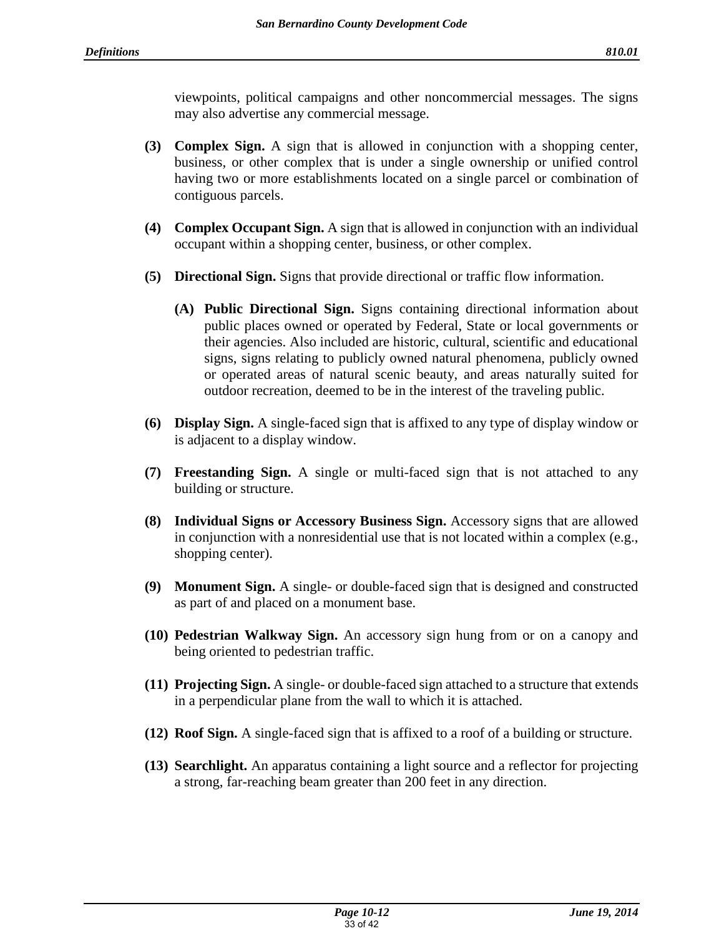viewpoints, political campaigns and other noncommercial messages. The signs may also advertise any commercial message.

- **(3) Complex Sign.** A sign that is allowed in conjunction with a shopping center, business, or other complex that is under a single ownership or unified control having two or more establishments located on a single parcel or combination of contiguous parcels.
- **(4) Complex Occupant Sign.** A sign that is allowed in conjunction with an individual occupant within a shopping center, business, or other complex.
- **(5) Directional Sign.** Signs that provide directional or traffic flow information.
	- **(A) Public Directional Sign.** Signs containing directional information about public places owned or operated by Federal, State or local governments or their agencies. Also included are historic, cultural, scientific and educational signs, signs relating to publicly owned natural phenomena, publicly owned or operated areas of natural scenic beauty, and areas naturally suited for outdoor recreation, deemed to be in the interest of the traveling public.
- **(6) Display Sign.** A single-faced sign that is affixed to any type of display window or is adjacent to a display window.
- **(7) Freestanding Sign.** A single or multi-faced sign that is not attached to any building or structure.
- **(8) Individual Signs or Accessory Business Sign.** Accessory signs that are allowed in conjunction with a nonresidential use that is not located within a complex (e.g., shopping center).
- **(9) Monument Sign.** A single- or double-faced sign that is designed and constructed as part of and placed on a monument base.
- **(10) Pedestrian Walkway Sign.** An accessory sign hung from or on a canopy and being oriented to pedestrian traffic.
- **(11) Projecting Sign.** A single- or double-faced sign attached to a structure that extends in a perpendicular plane from the wall to which it is attached.
- **(12) Roof Sign.** A single-faced sign that is affixed to a roof of a building or structure.
- **(13) Searchlight.** An apparatus containing a light source and a reflector for projecting a strong, far-reaching beam greater than 200 feet in any direction.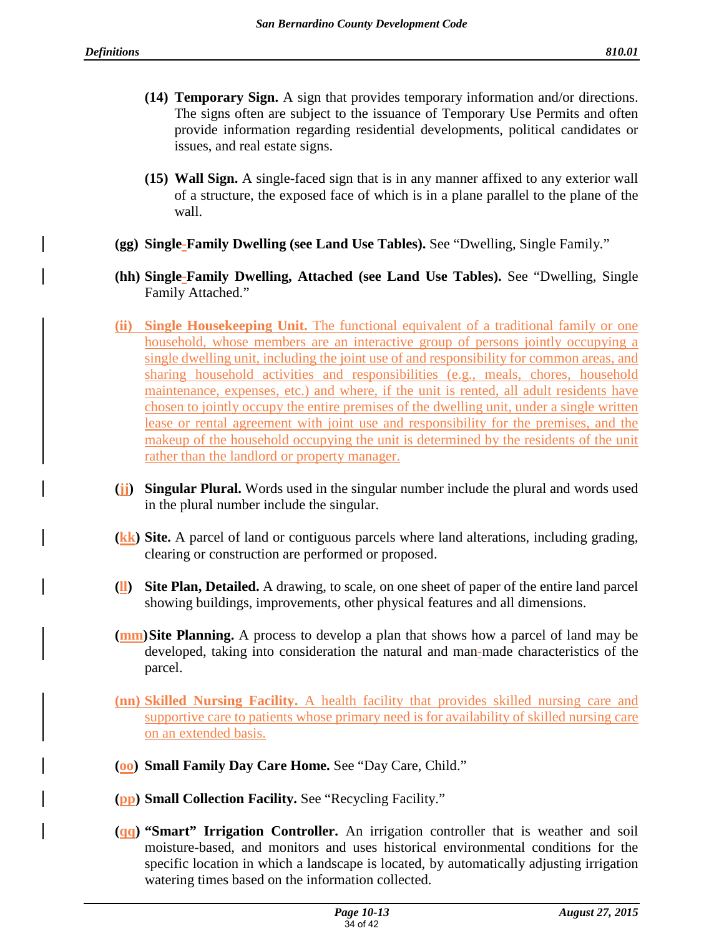- **(14) Temporary Sign.** A sign that provides temporary information and/or directions. The signs often are subject to the issuance of Temporary Use Permits and often provide information regarding residential developments, political candidates or issues, and real estate signs.
- **(15) Wall Sign.** A single-faced sign that is in any manner affixed to any exterior wall of a structure, the exposed face of which is in a plane parallel to the plane of the wall.
- **(gg) Single-Family Dwelling (see Land Use Tables).** See "Dwelling, Single Family."
- **(hh) Single-Family Dwelling, Attached (see Land Use Tables).** See "Dwelling, Single Family Attached."
- **(ii) Single Housekeeping Unit.** The functional equivalent of a traditional family or one household, whose members are an interactive group of persons jointly occupying a single dwelling unit, including the joint use of and responsibility for common areas, and sharing household activities and responsibilities (e.g., meals, chores, household maintenance, expenses, etc.) and where, if the unit is rented, all adult residents have chosen to jointly occupy the entire premises of the dwelling unit, under a single written lease or rental agreement with joint use and responsibility for the premises, and the makeup of the household occupying the unit is determined by the residents of the unit rather than the landlord or property manager.
- **(jj) Singular Plural.** Words used in the singular number include the plural and words used in the plural number include the singular.
- **(kk) Site.** A parcel of land or contiguous parcels where land alterations, including grading, clearing or construction are performed or proposed.
- **(ll) Site Plan, Detailed.** A drawing, to scale, on one sheet of paper of the entire land parcel showing buildings, improvements, other physical features and all dimensions.
- **(mm) Site Planning.** A process to develop a plan that shows how a parcel of land may be developed, taking into consideration the natural and man-made characteristics of the parcel.
- **(nn) Skilled Nursing Facility.** A health facility that provides skilled nursing care and supportive care to patients whose primary need is for availability of skilled nursing care on an extended basis.
- **(oo) Small Family Day Care Home.** See "Day Care, Child."
- **(pp) Small Collection Facility.** See "Recycling Facility."
- **(qq) "Smart" Irrigation Controller.** An irrigation controller that is weather and soil moisture-based, and monitors and uses historical environmental conditions for the specific location in which a landscape is located, by automatically adjusting irrigation watering times based on the information collected.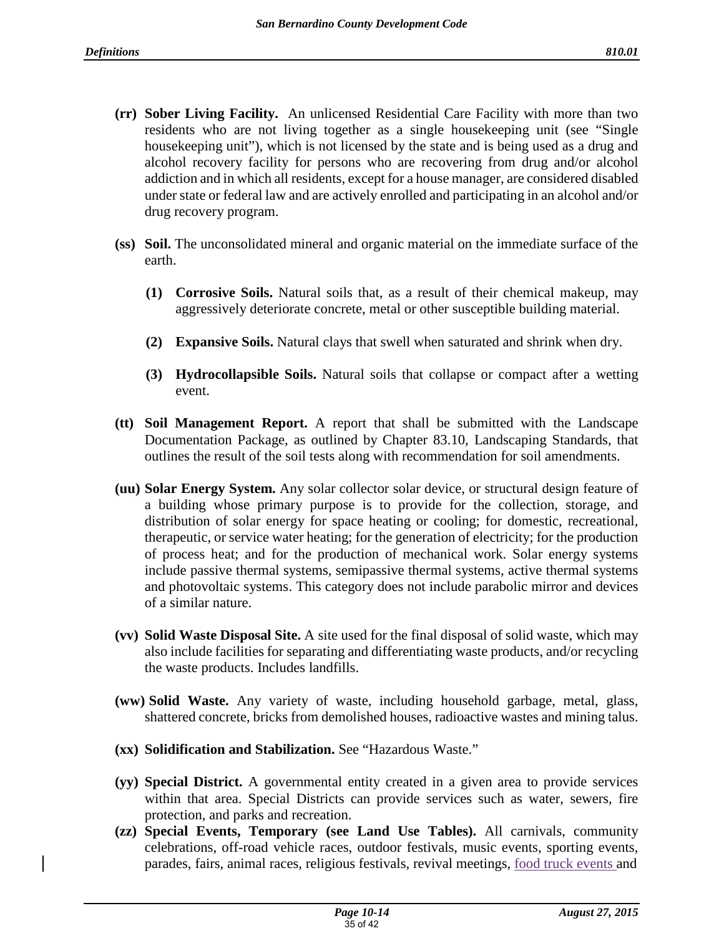- **(rr) Sober Living Facility.** An unlicensed Residential Care Facility with more than two residents who are not living together as a single housekeeping unit (see "Single housekeeping unit"), which is not licensed by the state and is being used as a drug and alcohol recovery facility for persons who are recovering from drug and/or alcohol addiction and in which all residents, except for a house manager, are considered disabled under state or federal law and are actively enrolled and participating in an alcohol and/or drug recovery program.
- **(ss) Soil.** The unconsolidated mineral and organic material on the immediate surface of the earth.
	- **(1) Corrosive Soils.** Natural soils that, as a result of their chemical makeup, may aggressively deteriorate concrete, metal or other susceptible building material.
	- **(2) Expansive Soils.** Natural clays that swell when saturated and shrink when dry.
	- **(3) Hydrocollapsible Soils.** Natural soils that collapse or compact after a wetting event.
- **(tt) Soil Management Report.** A report that shall be submitted with the Landscape Documentation Package, as outlined by Chapter 83.10, Landscaping Standards, that outlines the result of the soil tests along with recommendation for soil amendments.
- **(uu) Solar Energy System.** Any solar collector solar device, or structural design feature of a building whose primary purpose is to provide for the collection, storage, and distribution of solar energy for space heating or cooling; for domestic, recreational, therapeutic, or service water heating; for the generation of electricity; for the production of process heat; and for the production of mechanical work. Solar energy systems include passive thermal systems, semipassive thermal systems, active thermal systems and photovoltaic systems. This category does not include parabolic mirror and devices of a similar nature.
- **(vv) Solid Waste Disposal Site.** A site used for the final disposal of solid waste, which may also include facilities for separating and differentiating waste products, and/or recycling the waste products. Includes landfills.
- **(ww) Solid Waste.** Any variety of waste, including household garbage, metal, glass, shattered concrete, bricks from demolished houses, radioactive wastes and mining talus.
- **(xx) Solidification and Stabilization.** See "Hazardous Waste."
- **(yy) Special District.** A governmental entity created in a given area to provide services within that area. Special Districts can provide services such as water, sewers, fire protection, and parks and recreation.
- **(zz) Special Events, Temporary (see Land Use Tables).** All carnivals, community celebrations, off-road vehicle races, outdoor festivals, music events, sporting events, parades, fairs, animal races, religious festivals, revival meetings, food truck events and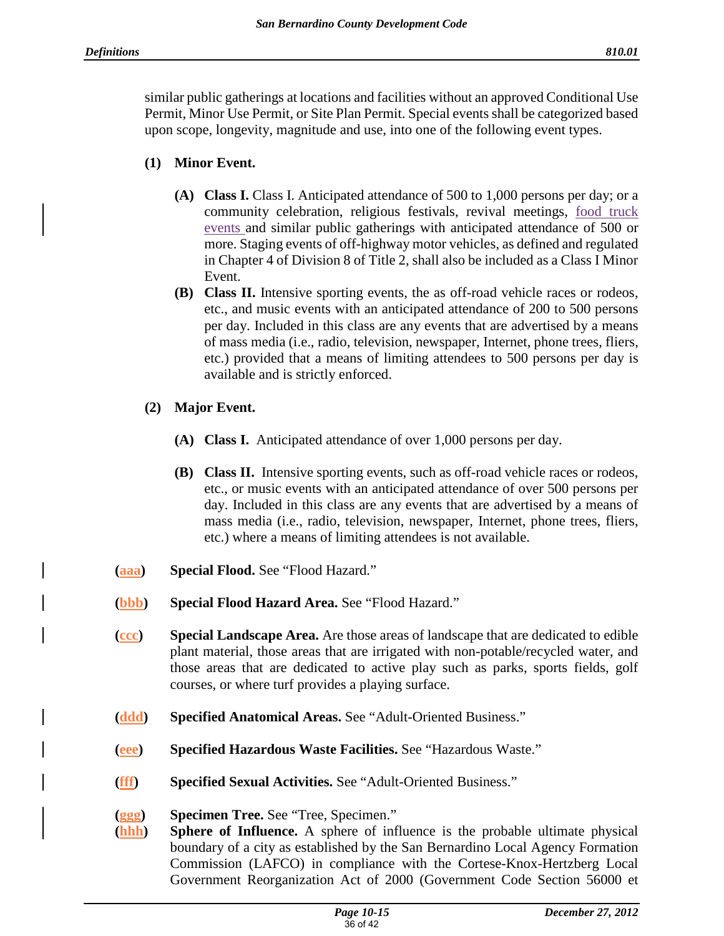similar public gatherings at locations and facilities without an approved Conditional Use Permit, Minor Use Permit, or Site Plan Permit. Special events shall be categorized based upon scope, longevity, magnitude and use, into one of the following event types.

# **(1) Minor Event.**

- **(A) Class I.** Class I. Anticipated attendance of 500 to 1,000 persons per day; or a community celebration, religious festivals, revival meetings, food truck events and similar public gatherings with anticipated attendance of 500 or more. Staging events of off-highway motor vehicles, as defined and regulated in Chapter 4 of Division 8 of Title 2, shall also be included as a Class I Minor Event.
- **(B) Class II.** Intensive sporting events, the as off-road vehicle races or rodeos, etc., and music events with an anticipated attendance of 200 to 500 persons per day. Included in this class are any events that are advertised by a means of mass media (i.e., radio, television, newspaper, Internet, phone trees, fliers, etc.) provided that a means of limiting attendees to 500 persons per day is available and is strictly enforced.
- **(2) Major Event.**
	- **(A) Class I.** Anticipated attendance of over 1,000 persons per day.
	- **(B) Class II.** Intensive sporting events, such as off-road vehicle races or rodeos, etc., or music events with an anticipated attendance of over 500 persons per day. Included in this class are any events that are advertised by a means of mass media (i.e., radio, television, newspaper, Internet, phone trees, fliers, etc.) where a means of limiting attendees is not available.
- **(aaa) Special Flood.** See "Flood Hazard."
- **(bbb) Special Flood Hazard Area.** See "Flood Hazard."
- **(ccc) Special Landscape Area.** Are those areas of landscape that are dedicated to edible plant material, those areas that are irrigated with non-potable/recycled water, and those areas that are dedicated to active play such as parks, sports fields, golf courses, or where turf provides a playing surface.
- **(ddd) Specified Anatomical Areas.** See "Adult-Oriented Business."
- **(eee) Specified Hazardous Waste Facilities.** See "Hazardous Waste."
- **(fff) Specified Sexual Activities.** See "Adult-Oriented Business."
- **(ggg) Specimen Tree.** See "Tree, Specimen."
- **(hhh) Sphere of Influence.** A sphere of influence is the probable ultimate physical boundary of a city as established by the San Bernardino Local Agency Formation Commission (LAFCO) in compliance with the Cortese-Knox-Hertzberg Local Government Reorganization Act of 2000 (Government Code Section 56000 et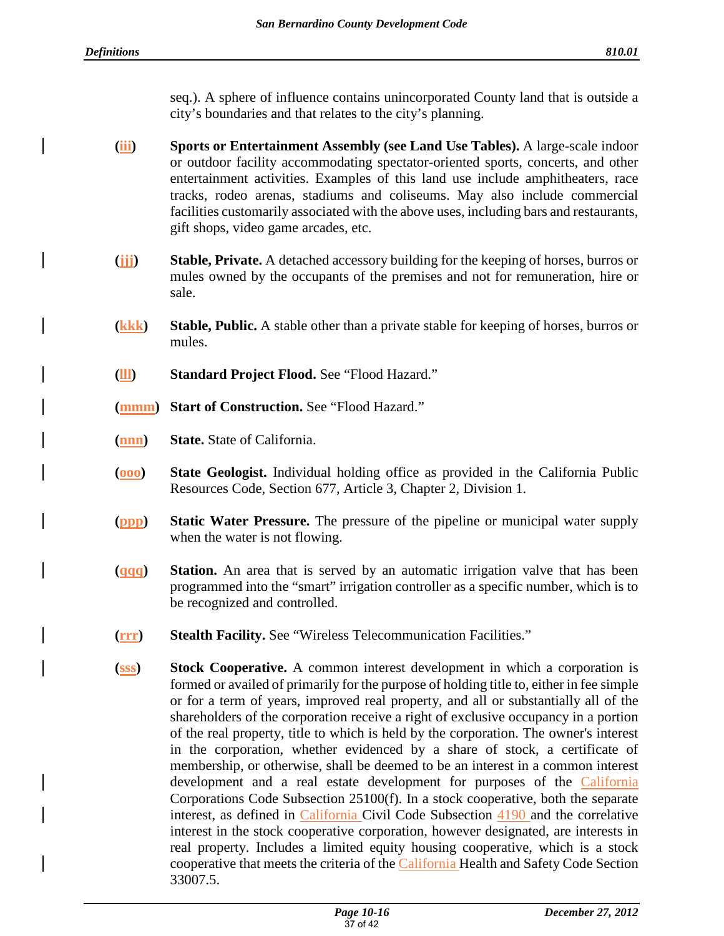seq.). A sphere of influence contains unincorporated County land that is outside a city's boundaries and that relates to the city's planning.

- **(iii) Sports or Entertainment Assembly (see Land Use Tables).** A large-scale indoor or outdoor facility accommodating spectator-oriented sports, concerts, and other entertainment activities. Examples of this land use include amphitheaters, race tracks, rodeo arenas, stadiums and coliseums. May also include commercial facilities customarily associated with the above uses, including bars and restaurants, gift shops, video game arcades, etc.
- **(jjj) Stable, Private.** A detached accessory building for the keeping of horses, burros or mules owned by the occupants of the premises and not for remuneration, hire or sale.
- **(kkk) Stable, Public.** A stable other than a private stable for keeping of horses, burros or mules.
- **(lll) Standard Project Flood.** See "Flood Hazard."
- **(mmm) Start of Construction.** See "Flood Hazard."
- **(nnn) State.** State of California.
- **(ooo) State Geologist.** Individual holding office as provided in the California Public Resources Code, Section 677, Article 3, Chapter 2, Division 1.
- **(ppp) Static Water Pressure.** The pressure of the pipeline or municipal water supply when the water is not flowing.
- **(qqq) Station.** An area that is served by an automatic irrigation valve that has been programmed into the "smart" irrigation controller as a specific number, which is to be recognized and controlled.
- **(rrr) Stealth Facility.** See "Wireless Telecommunication Facilities."
- **(sss) Stock Cooperative.** A common interest development in which a corporation is formed or availed of primarily for the purpose of holding title to, either in fee simple or for a term of years, improved real property, and all or substantially all of the shareholders of the corporation receive a right of exclusive occupancy in a portion of the real property, title to which is held by the corporation. The owner's interest in the corporation, whether evidenced by a share of stock, a certificate of membership, or otherwise, shall be deemed to be an interest in a common interest development and a real estate development for purposes of the California Corporations Code Subsection 25100(f). In a stock cooperative, both the separate interest, as defined in California Civil Code Subsection 4190 and the correlative interest in the stock cooperative corporation, however designated, are interests in real property. Includes a limited equity housing cooperative, which is a stock cooperative that meets the criteria of the California Health and Safety Code Section 33007.5.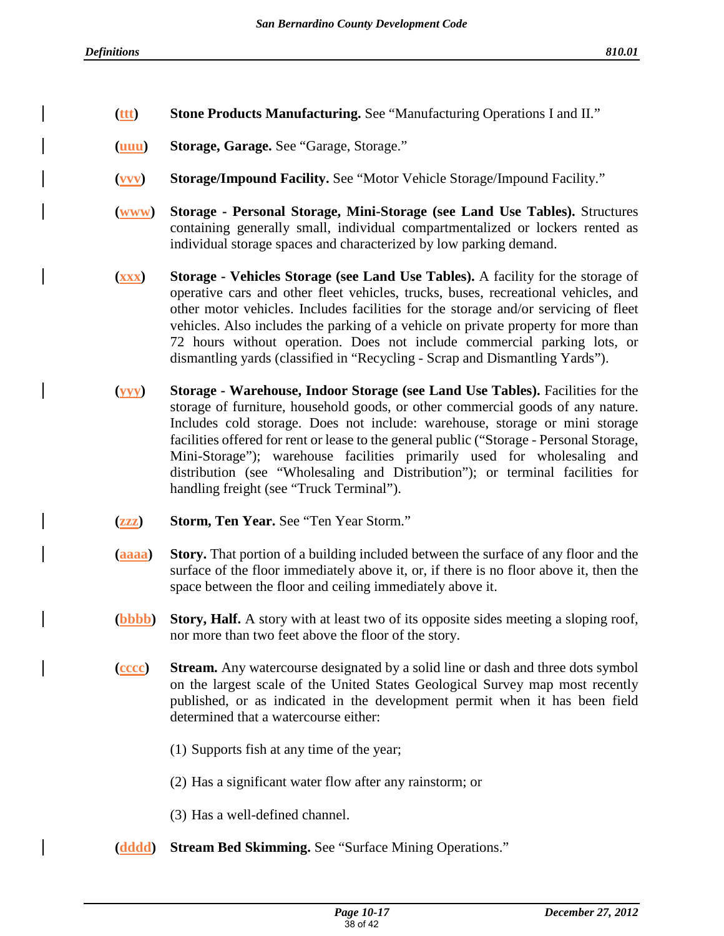- **(ttt) Stone Products Manufacturing.** See "Manufacturing Operations I and II."
- **(uuu) Storage, Garage.** See "Garage, Storage."
- **(vvv) Storage/Impound Facility.** See "Motor Vehicle Storage/Impound Facility."
- **(www) Storage Personal Storage, Mini-Storage (see Land Use Tables).** Structures containing generally small, individual compartmentalized or lockers rented as individual storage spaces and characterized by low parking demand.
- **(xxx) Storage Vehicles Storage (see Land Use Tables).** A facility for the storage of operative cars and other fleet vehicles, trucks, buses, recreational vehicles, and other motor vehicles. Includes facilities for the storage and/or servicing of fleet vehicles. Also includes the parking of a vehicle on private property for more than 72 hours without operation. Does not include commercial parking lots, or dismantling yards (classified in "Recycling - Scrap and Dismantling Yards").
- **(yyy) Storage Warehouse, Indoor Storage (see Land Use Tables).** Facilities for the storage of furniture, household goods, or other commercial goods of any nature. Includes cold storage. Does not include: warehouse, storage or mini storage facilities offered for rent or lease to the general public ("Storage - Personal Storage, Mini-Storage"); warehouse facilities primarily used for wholesaling and distribution (see "Wholesaling and Distribution"); or terminal facilities for handling freight (see "Truck Terminal").
- **(zzz) Storm, Ten Year.** See "Ten Year Storm."
- **(aaaa) Story.** That portion of a building included between the surface of any floor and the surface of the floor immediately above it, or, if there is no floor above it, then the space between the floor and ceiling immediately above it.
- **(bbbb) Story, Half.** A story with at least two of its opposite sides meeting a sloping roof, nor more than two feet above the floor of the story.
- **(cccc) Stream.** Any watercourse designated by a solid line or dash and three dots symbol on the largest scale of the United States Geological Survey map most recently published, or as indicated in the development permit when it has been field determined that a watercourse either:
	- (1) Supports fish at any time of the year;
	- (2) Has a significant water flow after any rainstorm; or
	- (3) Has a well-defined channel.
- **(dddd) Stream Bed Skimming.** See "Surface Mining Operations."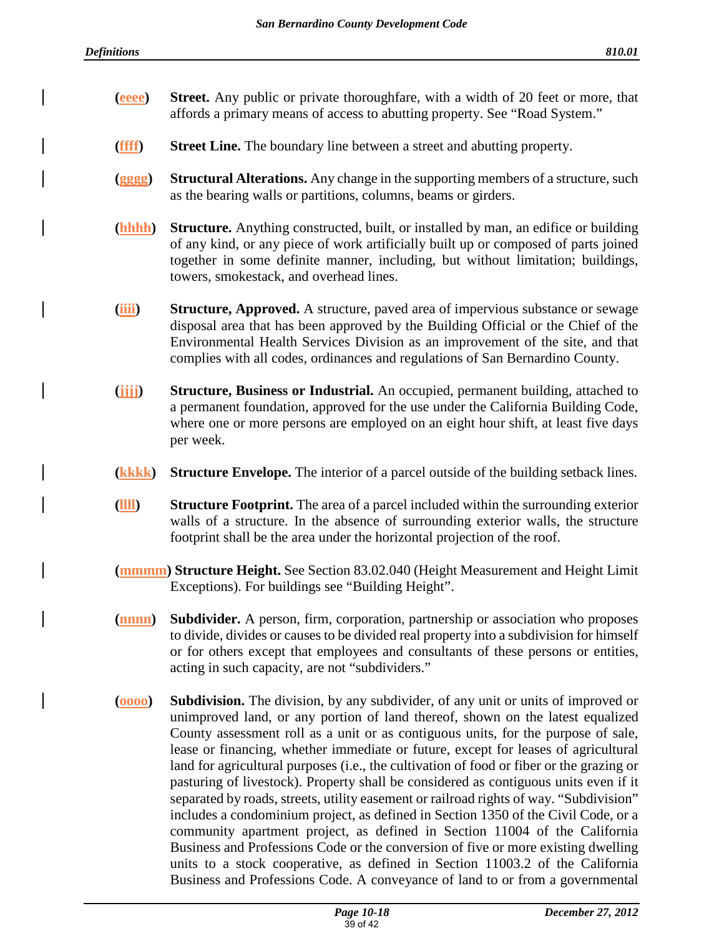- **(eeee) Street.** Any public or private thoroughfare, with a width of 20 feet or more, that affords a primary means of access to abutting property. See "Road System."
- **(ffff) Street Line.** The boundary line between a street and abutting property.
- **(gggg) Structural Alterations.** Any change in the supporting members of a structure, such as the bearing walls or partitions, columns, beams or girders.
- **(hhhh) Structure.** Anything constructed, built, or installed by man, an edifice or building of any kind, or any piece of work artificially built up or composed of parts joined together in some definite manner, including, but without limitation; buildings, towers, smokestack, and overhead lines.
- **(iiii)** Structure, Approved. A structure, paved area of impervious substance or sewage disposal area that has been approved by the Building Official or the Chief of the Environmental Health Services Division as an improvement of the site, and that complies with all codes, ordinances and regulations of San Bernardino County.
- **(jjjj) Structure, Business or Industrial.** An occupied, permanent building, attached to a permanent foundation, approved for the use under the California Building Code, where one or more persons are employed on an eight hour shift, at least five days per week.
- **(kkkk) Structure Envelope.** The interior of a parcel outside of the building setback lines.
- **(llll) Structure Footprint.** The area of a parcel included within the surrounding exterior walls of a structure. In the absence of surrounding exterior walls, the structure footprint shall be the area under the horizontal projection of the roof.
- **(mmmm) Structure Height.** See Section 83.02.040 (Height Measurement and Height Limit Exceptions). For buildings see "Building Height".
- **(nnnn) Subdivider.** A person, firm, corporation, partnership or association who proposes to divide, divides or causes to be divided real property into a subdivision for himself or for others except that employees and consultants of these persons or entities, acting in such capacity, are not "subdividers."
- **(oooo) Subdivision.** The division, by any subdivider, of any unit or units of improved or unimproved land, or any portion of land thereof, shown on the latest equalized County assessment roll as a unit or as contiguous units, for the purpose of sale, lease or financing, whether immediate or future, except for leases of agricultural land for agricultural purposes (i.e., the cultivation of food or fiber or the grazing or pasturing of livestock). Property shall be considered as contiguous units even if it separated by roads, streets, utility easement or railroad rights of way. "Subdivision" includes a condominium project, as defined in Section 1350 of the Civil Code, or a community apartment project, as defined in Section 11004 of the California Business and Professions Code or the conversion of five or more existing dwelling units to a stock cooperative, as defined in Section 11003.2 of the California Business and Professions Code. A conveyance of land to or from a governmental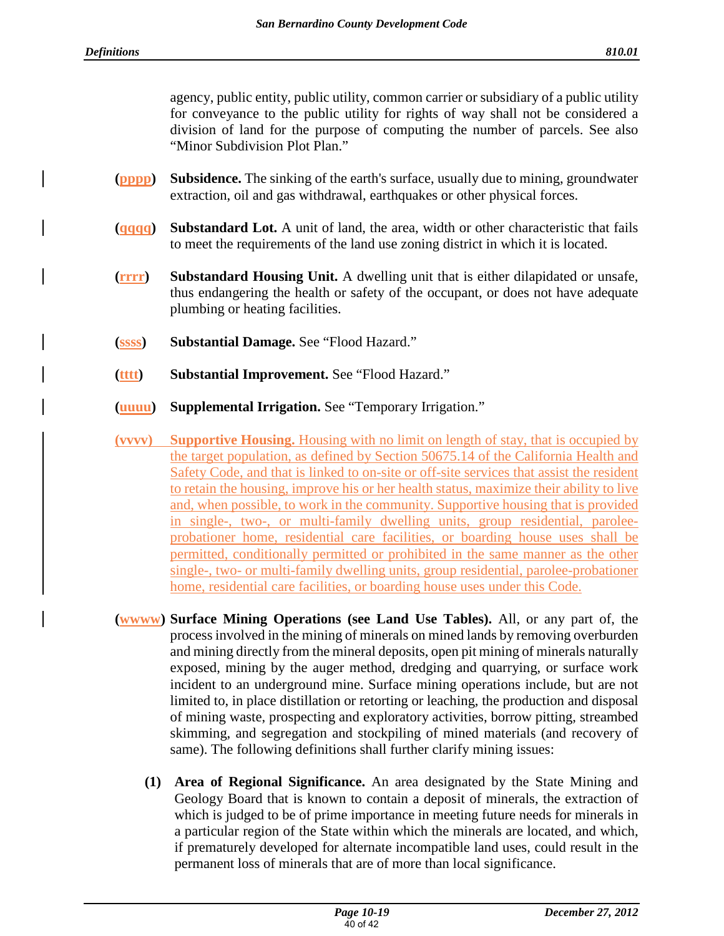agency, public entity, public utility, common carrier or subsidiary of a public utility for conveyance to the public utility for rights of way shall not be considered a division of land for the purpose of computing the number of parcels. See also "Minor Subdivision Plot Plan."

- **(pppp) Subsidence.** The sinking of the earth's surface, usually due to mining, groundwater extraction, oil and gas withdrawal, earthquakes or other physical forces.
- **(qqqq) Substandard Lot.** A unit of land, the area, width or other characteristic that fails to meet the requirements of the land use zoning district in which it is located.
- **(rrrr) Substandard Housing Unit.** A dwelling unit that is either dilapidated or unsafe, thus endangering the health or safety of the occupant, or does not have adequate plumbing or heating facilities.
- **(ssss) Substantial Damage.** See "Flood Hazard."
- **(tttt) Substantial Improvement.** See "Flood Hazard."
- **(uuuu) Supplemental Irrigation.** See "Temporary Irrigation."
- **(vvvv) Supportive Housing.** Housing with no limit on length of stay, that is occupied by the target population, as defined by Section 50675.14 of the California Health and Safety Code, and that is linked to on-site or off-site services that assist the resident to retain the housing, improve his or her health status, maximize their ability to live and, when possible, to work in the community. Supportive housing that is provided in single-, two-, or multi-family dwelling units, group residential, paroleeprobationer home, residential care facilities, or boarding house uses shall be permitted, conditionally permitted or prohibited in the same manner as the other single-, two- or multi-family dwelling units, group residential, parolee-probationer home, residential care facilities, or boarding house uses under this Code.
- **(wwww) Surface Mining Operations (see Land Use Tables).** All, or any part of, the process involved in the mining of minerals on mined lands by removing overburden and mining directly from the mineral deposits, open pit mining of minerals naturally exposed, mining by the auger method, dredging and quarrying, or surface work incident to an underground mine. Surface mining operations include, but are not limited to, in place distillation or retorting or leaching, the production and disposal of mining waste, prospecting and exploratory activities, borrow pitting, streambed skimming, and segregation and stockpiling of mined materials (and recovery of same). The following definitions shall further clarify mining issues:
	- **(1) Area of Regional Significance.** An area designated by the State Mining and Geology Board that is known to contain a deposit of minerals, the extraction of which is judged to be of prime importance in meeting future needs for minerals in a particular region of the State within which the minerals are located, and which, if prematurely developed for alternate incompatible land uses, could result in the permanent loss of minerals that are of more than local significance.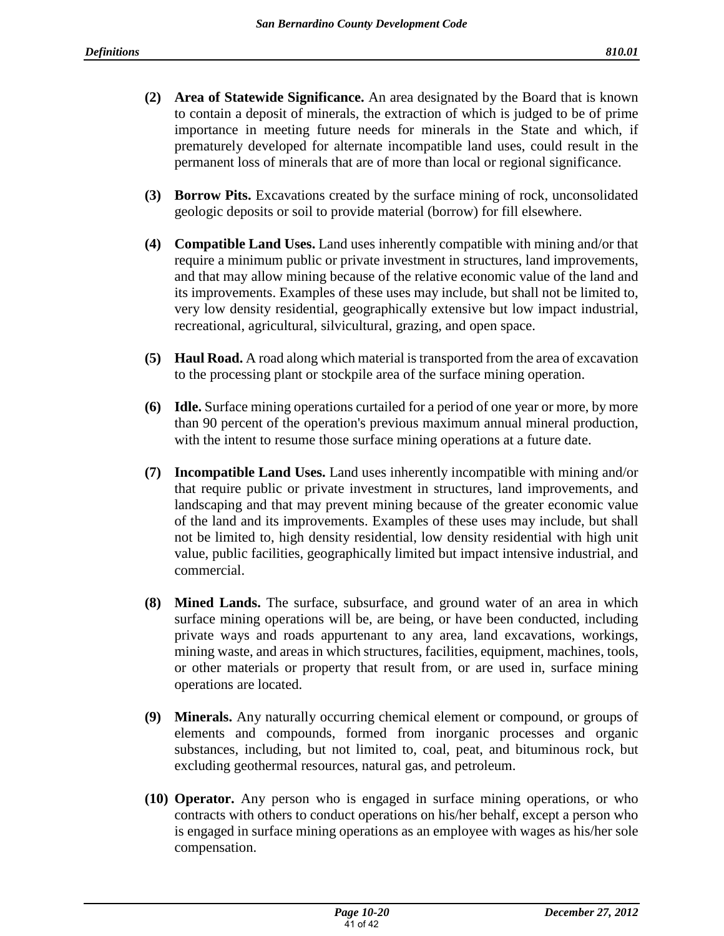- **(2) Area of Statewide Significance.** An area designated by the Board that is known to contain a deposit of minerals, the extraction of which is judged to be of prime importance in meeting future needs for minerals in the State and which, if prematurely developed for alternate incompatible land uses, could result in the permanent loss of minerals that are of more than local or regional significance.
- **(3) Borrow Pits.** Excavations created by the surface mining of rock, unconsolidated geologic deposits or soil to provide material (borrow) for fill elsewhere.
- **(4) Compatible Land Uses.** Land uses inherently compatible with mining and/or that require a minimum public or private investment in structures, land improvements, and that may allow mining because of the relative economic value of the land and its improvements. Examples of these uses may include, but shall not be limited to, very low density residential, geographically extensive but low impact industrial, recreational, agricultural, silvicultural, grazing, and open space.
- **(5) Haul Road.** A road along which material is transported from the area of excavation to the processing plant or stockpile area of the surface mining operation.
- **(6) Idle.** Surface mining operations curtailed for a period of one year or more, by more than 90 percent of the operation's previous maximum annual mineral production, with the intent to resume those surface mining operations at a future date.
- **(7) Incompatible Land Uses.** Land uses inherently incompatible with mining and/or that require public or private investment in structures, land improvements, and landscaping and that may prevent mining because of the greater economic value of the land and its improvements. Examples of these uses may include, but shall not be limited to, high density residential, low density residential with high unit value, public facilities, geographically limited but impact intensive industrial, and commercial.
- **(8) Mined Lands.** The surface, subsurface, and ground water of an area in which surface mining operations will be, are being, or have been conducted, including private ways and roads appurtenant to any area, land excavations, workings, mining waste, and areas in which structures, facilities, equipment, machines, tools, or other materials or property that result from, or are used in, surface mining operations are located.
- **(9) Minerals.** Any naturally occurring chemical element or compound, or groups of elements and compounds, formed from inorganic processes and organic substances, including, but not limited to, coal, peat, and bituminous rock, but excluding geothermal resources, natural gas, and petroleum.
- **(10) Operator.** Any person who is engaged in surface mining operations, or who contracts with others to conduct operations on his/her behalf, except a person who is engaged in surface mining operations as an employee with wages as his/her sole compensation.